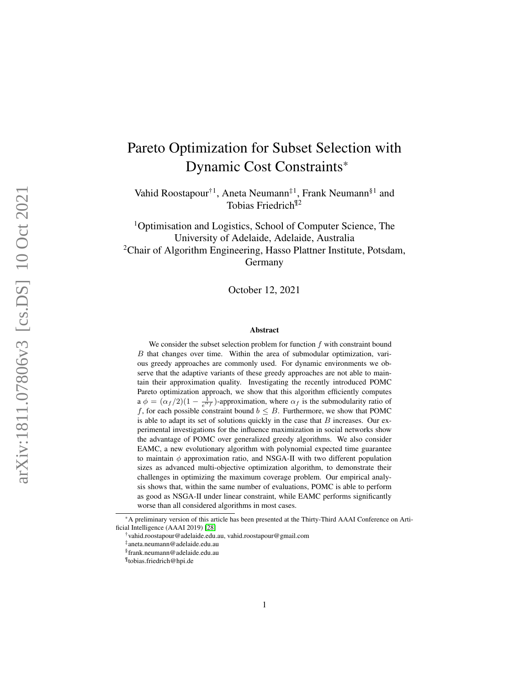# Pareto Optimization for Subset Selection with Dynamic Cost Constraints \*

Vahid Roostapour†1, Aneta Neumann‡1, Frank Neumann§1 and Tobias Friedrich¶2

<sup>1</sup>Optimisation and Logistics, School of Computer Science, The University of Adelaide, Adelaide, Australia  $2$ Chair of Algorithm Engineering, Hasso Plattner Institute, Potsdam, Germany

October 12, 2021

#### Abstract

We consider the subset selection problem for function  $f$  with constraint bound B that changes over time. Within the area of submodular optimization, various greedy approaches are commonly used. For dynamic environments we observe that the adaptive variants of these greedy approaches are not able to maintain their approximation quality. Investigating the recently introduced POMC Pareto optimization approach, we show that this algorithm efficiently computes a  $\phi = (\alpha_f/2)(1 - \frac{1}{e^{\alpha_f}})$ -approximation, where  $\alpha_f$  is the submodularity ratio of f, for each possible constraint bound  $b \leq B$ . Furthermore, we show that POMC is able to adapt its set of solutions quickly in the case that  $B$  increases. Our experimental investigations for the influence maximization in social networks show the advantage of POMC over generalized greedy algorithms. We also consider EAMC, a new evolutionary algorithm with polynomial expected time guarantee to maintain  $\phi$  approximation ratio, and NSGA-II with two different population sizes as advanced multi-objective optimization algorithm, to demonstrate their challenges in optimizing the maximum coverage problem. Our empirical analysis shows that, within the same number of evaluations, POMC is able to perform as good as NSGA-II under linear constraint, while EAMC performs significantly worse than all considered algorithms in most cases.

<sup>\*</sup>A preliminary version of this article has been presented at the Thirty-Third AAAI Conference on Artificial Intelligence (AAAI 2019) [\[28\]](#page-27-0)

<sup>†</sup>vahid.roostapour@adelaide.edu.au, vahid.roostapour@gmail.com

<sup>‡</sup> aneta.neumann@adelaide.edu.au

<sup>§</sup> frank.neumann@adelaide.edu.au

<sup>¶</sup> tobias.friedrich@hpi.de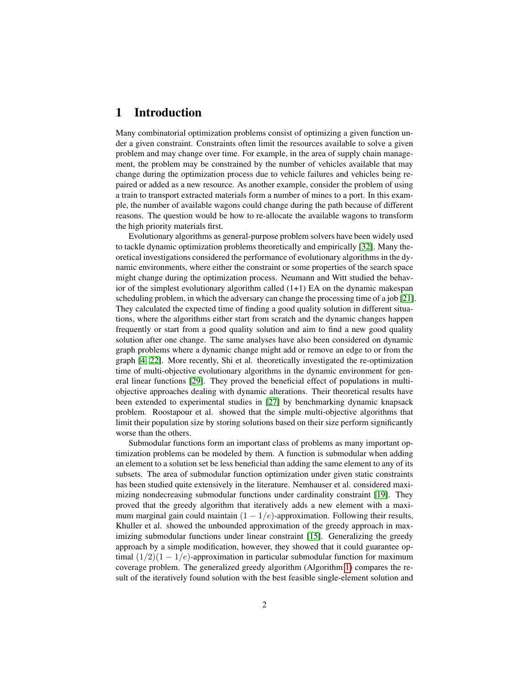### 1 Introduction

Many combinatorial optimization problems consist of optimizing a given function under a given constraint. Constraints often limit the resources available to solve a given problem and may change over time. For example, in the area of supply chain management, the problem may be constrained by the number of vehicles available that may change during the optimization process due to vehicle failures and vehicles being repaired or added as a new resource. As another example, consider the problem of using a train to transport extracted materials form a number of mines to a port. In this example, the number of available wagons could change during the path because of different reasons. The question would be how to re-allocate the available wagons to transform the high priority materials first.

Evolutionary algorithms as general-purpose problem solvers have been widely used to tackle dynamic optimization problems theoretically and empirically [\[32\]](#page-28-0). Many theoretical investigations considered the performance of evolutionary algorithms in the dynamic environments, where either the constraint or some properties of the search space might change during the optimization process. Neumann and Witt studied the behavior of the simplest evolutionary algorithm called  $(1+1)$  EA on the dynamic makespan scheduling problem, in which the adversary can change the processing time of a job [\[21\]](#page-27-1). They calculated the expected time of finding a good quality solution in different situations, where the algorithms either start from scratch and the dynamic changes happen frequently or start from a good quality solution and aim to find a new good quality solution after one change. The same analyses have also been considered on dynamic graph problems where a dynamic change might add or remove an edge to or from the graph [\[4,](#page-25-0) [22\]](#page-27-2). More recently, Shi et al. theoretically investigated the re-optimization time of multi-objective evolutionary algorithms in the dynamic environment for general linear functions [\[29\]](#page-27-3). They proved the beneficial effect of populations in multiobjective approaches dealing with dynamic alterations. Their theoretical results have been extended to experimental studies in [\[27\]](#page-27-4) by benchmarking dynamic knapsack problem. Roostapour et al. showed that the simple multi-objective algorithms that limit their population size by storing solutions based on their size perform significantly worse than the others.

Submodular functions form an important class of problems as many important optimization problems can be modeled by them. A function is submodular when adding an element to a solution set be less beneficial than adding the same element to any of its subsets. The area of submodular function optimization under given static constraints has been studied quite extensively in the literature. Nemhauser et al. considered maximizing nondecreasing submodular functions under cardinality constraint [\[19\]](#page-27-5). They proved that the greedy algorithm that iteratively adds a new element with a maximum marginal gain could maintain  $(1 - 1/e)$ -approximation. Following their results, Khuller et al. showed the unbounded approximation of the greedy approach in max-imizing submodular functions under linear constraint [\[15\]](#page-26-0). Generalizing the greedy approach by a simple modification, however, they showed that it could guarantee optimal  $(1/2)(1 - 1/e)$ -approximation in particular submodular function for maximum coverage problem. The generalized greedy algorithm (Algorithm [1\)](#page-5-0) compares the result of the iteratively found solution with the best feasible single-element solution and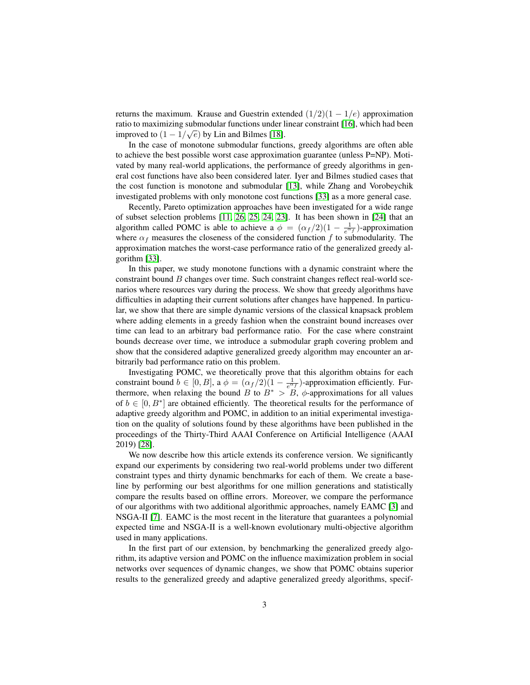returns the maximum. Krause and Guestrin extended  $(1/2)(1 - 1/e)$  approximation ratio to maximizing submodular functions under linear constraint [\[16\]](#page-26-1), which had been improved to  $(1 - 1/\sqrt{e})$  by Lin and Bilmes [\[18\]](#page-27-6).

In the case of monotone submodular functions, greedy algorithms are often able to achieve the best possible worst case approximation guarantee (unless P=NP). Motivated by many real-world applications, the performance of greedy algorithms in general cost functions have also been considered later. Iyer and Bilmes studied cases that the cost function is monotone and submodular [\[13\]](#page-26-2), while Zhang and Vorobeychik investigated problems with only monotone cost functions [\[33\]](#page-28-1) as a more general case.

Recently, Pareto optimization approaches have been investigated for a wide range of subset selection problems [\[11,](#page-26-3) [26,](#page-27-7) [25,](#page-27-8) [24,](#page-27-9) [23\]](#page-27-10). It has been shown in [\[24\]](#page-27-9) that an algorithm called POMC is able to achieve a  $\phi = (\alpha_f/2)(1 - \frac{1}{e^{\alpha_f}})$ -approximation where  $\alpha_f$  measures the closeness of the considered function f to submodularity. The approximation matches the worst-case performance ratio of the generalized greedy algorithm [\[33\]](#page-28-1).

In this paper, we study monotone functions with a dynamic constraint where the constraint bound  $B$  changes over time. Such constraint changes reflect real-world scenarios where resources vary during the process. We show that greedy algorithms have difficulties in adapting their current solutions after changes have happened. In particular, we show that there are simple dynamic versions of the classical knapsack problem where adding elements in a greedy fashion when the constraint bound increases over time can lead to an arbitrary bad performance ratio. For the case where constraint bounds decrease over time, we introduce a submodular graph covering problem and show that the considered adaptive generalized greedy algorithm may encounter an arbitrarily bad performance ratio on this problem.

Investigating POMC, we theoretically prove that this algorithm obtains for each constraint bound  $b \in [0, B]$ , a  $\phi = (\alpha_f/2)(1 - \frac{1}{e^{\alpha_f}})$ -approximation efficiently. Furthermore, when relaxing the bound B to  $B^* > B$ ,  $\phi$ -approximations for all values of  $b \in [0, B^*]$  are obtained efficiently. The theoretical results for the performance of adaptive greedy algorithm and POMC, in addition to an initial experimental investigation on the quality of solutions found by these algorithms have been published in the proceedings of the Thirty-Third AAAI Conference on Artificial Intelligence (AAAI 2019) [\[28\]](#page-27-0).

We now describe how this article extends its conference version. We significantly expand our experiments by considering two real-world problems under two different constraint types and thirty dynamic benchmarks for each of them. We create a baseline by performing our best algorithms for one million generations and statistically compare the results based on offline errors. Moreover, we compare the performance of our algorithms with two additional algorithmic approaches, namely EAMC [\[3\]](#page-25-1) and NSGA-II [\[7\]](#page-26-4). EAMC is the most recent in the literature that guarantees a polynomial expected time and NSGA-II is a well-known evolutionary multi-objective algorithm used in many applications.

In the first part of our extension, by benchmarking the generalized greedy algorithm, its adaptive version and POMC on the influence maximization problem in social networks over sequences of dynamic changes, we show that POMC obtains superior results to the generalized greedy and adaptive generalized greedy algorithms, specif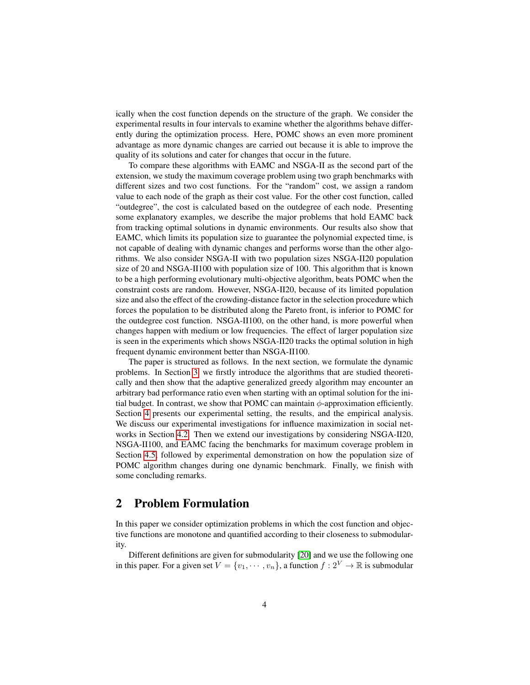ically when the cost function depends on the structure of the graph. We consider the experimental results in four intervals to examine whether the algorithms behave differently during the optimization process. Here, POMC shows an even more prominent advantage as more dynamic changes are carried out because it is able to improve the quality of its solutions and cater for changes that occur in the future.

To compare these algorithms with EAMC and NSGA-II as the second part of the extension, we study the maximum coverage problem using two graph benchmarks with different sizes and two cost functions. For the "random" cost, we assign a random value to each node of the graph as their cost value. For the other cost function, called "outdegree", the cost is calculated based on the outdegree of each node. Presenting some explanatory examples, we describe the major problems that hold EAMC back from tracking optimal solutions in dynamic environments. Our results also show that EAMC, which limits its population size to guarantee the polynomial expected time, is not capable of dealing with dynamic changes and performs worse than the other algorithms. We also consider NSGA-II with two population sizes NSGA-II20 population size of 20 and NSGA-II100 with population size of 100. This algorithm that is known to be a high performing evolutionary multi-objective algorithm, beats POMC when the constraint costs are random. However, NSGA-II20, because of its limited population size and also the effect of the crowding-distance factor in the selection procedure which forces the population to be distributed along the Pareto front, is inferior to POMC for the outdegree cost function. NSGA-II100, on the other hand, is more powerful when changes happen with medium or low frequencies. The effect of larger population size is seen in the experiments which shows NSGA-II20 tracks the optimal solution in high frequent dynamic environment better than NSGA-II100.

The paper is structured as follows. In the next section, we formulate the dynamic problems. In Section [3,](#page-5-1) we firstly introduce the algorithms that are studied theoretically and then show that the adaptive generalized greedy algorithm may encounter an arbitrary bad performance ratio even when starting with an optimal solution for the initial budget. In contrast, we show that POMC can maintain  $\phi$ -approximation efficiently. Section [4](#page-13-0) presents our experimental setting, the results, and the empirical analysis. We discuss our experimental investigations for influence maximization in social networks in Section [4.2.](#page-14-0) Then we extend our investigations by considering NSGA-II20, NSGA-II100, and EAMC facing the benchmarks for maximum coverage problem in Section [4.5,](#page-20-0) followed by experimental demonstration on how the population size of POMC algorithm changes during one dynamic benchmark. Finally, we finish with some concluding remarks.

## 2 Problem Formulation

In this paper we consider optimization problems in which the cost function and objective functions are monotone and quantified according to their closeness to submodularity.

Different definitions are given for submodularity [\[20\]](#page-27-11) and we use the following one in this paper. For a given set  $V = \{v_1, \dots, v_n\}$ , a function  $f: 2^V \to \mathbb{R}$  is submodular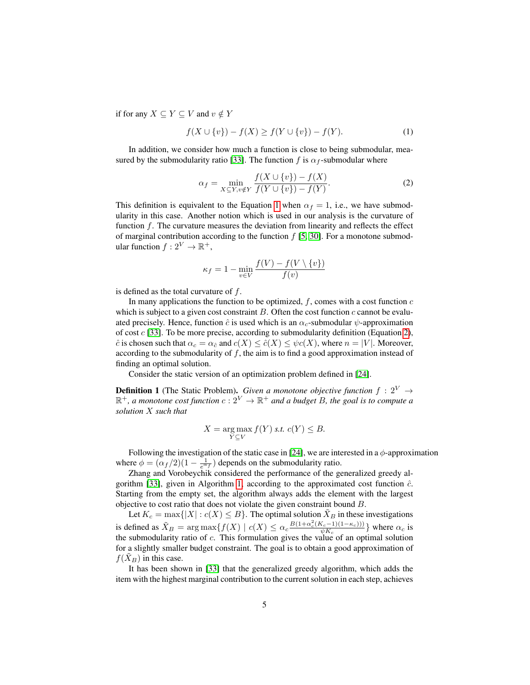if for any  $X \subseteq Y \subseteq V$  and  $v \notin Y$ 

$$
f(X \cup \{v\}) - f(X) \ge f(Y \cup \{v\}) - f(Y). \tag{1}
$$

In addition, we consider how much a function is close to being submodular, mea-sured by the submodularity ratio [\[33\]](#page-28-1). The function f is  $\alpha_f$ -submodular where

<span id="page-4-1"></span><span id="page-4-0"></span>
$$
\alpha_f = \min_{X \subseteq Y, v \notin Y} \frac{f(X \cup \{v\}) - f(X)}{f(Y \cup \{v\}) - f(Y)}.
$$
 (2)

This definition is equivalent to the Equation [1](#page-4-0) when  $\alpha_f = 1$ , i.e., we have submodularity in this case. Another notion which is used in our analysis is the curvature of function  $f$ . The curvature measures the deviation from linearity and reflects the effect of marginal contribution according to the function  $f$  [\[5,](#page-26-5) [30\]](#page-28-2). For a monotone submodular function  $f: 2^V \to \mathbb{R}^+,$ 

$$
\kappa_f = 1 - \min_{v \in V} \frac{f(V) - f(V \setminus \{v\})}{f(v)}
$$

is defined as the total curvature of f.

In many applications the function to be optimized,  $f$ , comes with a cost function  $c$ which is subject to a given cost constraint  $B$ . Often the cost function  $c$  cannot be evaluated precisely. Hence, function  $\hat{c}$  is used which is an  $\alpha_c$ -submodular  $\psi$ -approximation of cost  $c$  [\[33\]](#page-28-1). To be more precise, according to submodularity definition (Equation [2\)](#page-4-1),  $\hat{c}$  is chosen such that  $\alpha_c = \alpha_{\hat{c}}$  and  $c(X) \leq \hat{c}(X) \leq \psi c(X)$ , where  $n = |V|$ . Moreover, according to the submodularity of f, the aim is to find a good approximation instead of finding an optimal solution.

Consider the static version of an optimization problem defined in [\[24\]](#page-27-9).

<span id="page-4-2"></span>**Definition 1** (The Static Problem). *Given a monotone objective function*  $f : 2^V \rightarrow$  $\mathbb{R}^+$ , a monotone cost function  $c: 2^V \to \mathbb{R}^+$  and a budget B, the goal is to compute a *solution* X *such that*

$$
X = \underset{Y \subseteq V}{\text{arg}\max} f(Y) \text{ s.t. } c(Y) \leq B.
$$

Following the investigation of the static case in [\[24\]](#page-27-9), we are interested in a  $\phi$ -approximation where  $\phi = (\alpha_f/2)(1 - \frac{1}{e^{\alpha_f}})$  depends on the submodularity ratio.

Zhang and Vorobeychik considered the performance of the generalized greedy al-gorithm [\[33\]](#page-28-1), given in Algorithm [1,](#page-5-0) according to the approximated cost function  $\hat{c}$ . Starting from the empty set, the algorithm always adds the element with the largest objective to cost ratio that does not violate the given constraint bound B.

Let  $K_c = \max\{|X| : c(X) \leq B\}$ . The optimal solution  $\tilde{X}_B$  in these investigations is defined as  $\tilde{X}_B = \arg \max \{ f(X) \mid c(X) \le \alpha_c \frac{B(1+\alpha_c^2(K_c-1)(1-\kappa_c)))}{\sqrt{nK_c}} \}$  $\frac{\Lambda_c - 1(1 - \kappa_c))}{\psi K_c}$  where  $\alpha_c$  is the submodularity ratio of  $c$ . This formulation gives the value of an optimal solution for a slightly smaller budget constraint. The goal is to obtain a good approximation of  $f(X_B)$  in this case.

It has been shown in [\[33\]](#page-28-1) that the generalized greedy algorithm, which adds the item with the highest marginal contribution to the current solution in each step, achieves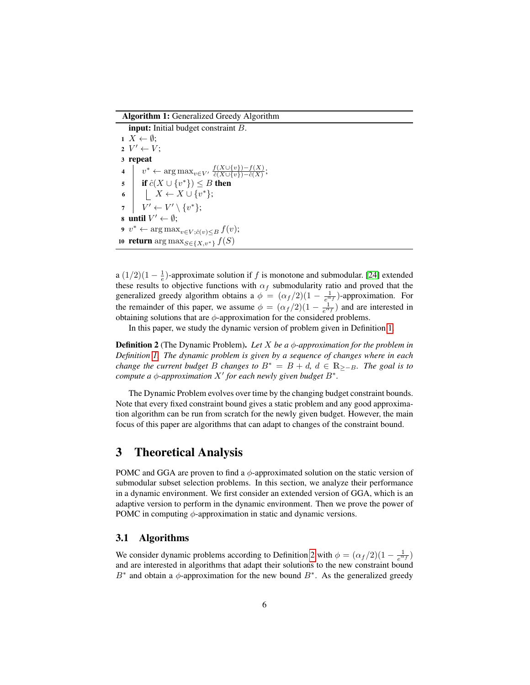Algorithm 1: Generalized Greedy Algorithm

input: Initial budget constraint B.  $1 \ X \leftarrow \emptyset;$  $2 V' \leftarrow V;$ 3 repeat 4  $v^* \leftarrow \arg \max_{v \in V'} \frac{f(X \cup \{v\}) - f(X)}{\hat{c}(X \cup \{v\}) - \hat{c}(X)}$  $\frac{\partial (X \cup \{v\}) - f(X)}{\partial (X \cup \{v\}) - \hat{c}(X)}$ 5 if  $\hat{c}(X \cup \{v^*\}) \leq B$  then 6  $\vert X \leftarrow X \cup \{v^*\};$  $7 \quad | \quad V' \leftarrow V' \setminus \{v^*\};$ 8 until  $V' \leftarrow \emptyset$ ; 9  $v^* \leftarrow \arg \max_{v \in V; \hat{c}(v) \leq B} f(v);$ 10 return  $\argmax_{S \in \{X, v^*\}} f(S)$ 

<span id="page-5-0"></span>a  $\left(\frac{1}{2}\right)\left(1-\frac{1}{e}\right)$ -approximate solution if f is monotone and submodular. [\[24\]](#page-27-9) extended these results to objective functions with  $\alpha_f$  submodularity ratio and proved that the generalized greedy algorithm obtains a  $\phi = (\alpha_f/2)(1 - \frac{1}{e^{\alpha_f}})$ -approximation. For the remainder of this paper, we assume  $\phi = (\alpha_f/2)(1 - \frac{1}{e^{\alpha_f}})$  and are interested in obtaining solutions that are  $\phi$ -approximation for the considered problems.

In this paper, we study the dynamic version of problem given in Definition [1.](#page-4-2)

<span id="page-5-2"></span>**Definition 2** (The Dynamic Problem). *Let X be a φ-approximation for the problem in Definition [1.](#page-4-2) The dynamic problem is given by a sequence of changes where in each change the current budget* B *changes to*  $B^* = B + d$ *,*  $d \in \mathbb{R}_{\geq -B}$ *. The goal is to compute a*  $\phi$ -*approximation*  $X'$  *for each newly given budget*  $B^*$ *.* 

The Dynamic Problem evolves over time by the changing budget constraint bounds. Note that every fixed constraint bound gives a static problem and any good approximation algorithm can be run from scratch for the newly given budget. However, the main focus of this paper are algorithms that can adapt to changes of the constraint bound.

### <span id="page-5-1"></span>3 Theoretical Analysis

POMC and GGA are proven to find a  $\phi$ -approximated solution on the static version of submodular subset selection problems. In this section, we analyze their performance in a dynamic environment. We first consider an extended version of GGA, which is an adaptive version to perform in the dynamic environment. Then we prove the power of POMC in computing  $\phi$ -approximation in static and dynamic versions.

#### <span id="page-5-3"></span>3.1 Algorithms

We consider dynamic problems according to Definition [2](#page-5-2) with  $\phi = (\alpha_f/2)(1 - \frac{1}{e^{\alpha_f}})$ and are interested in algorithms that adapt their solutions to the new constraint bound B<sup>∗</sup> and obtain a  $\phi$ -approximation for the new bound B<sup>∗</sup>. As the generalized greedy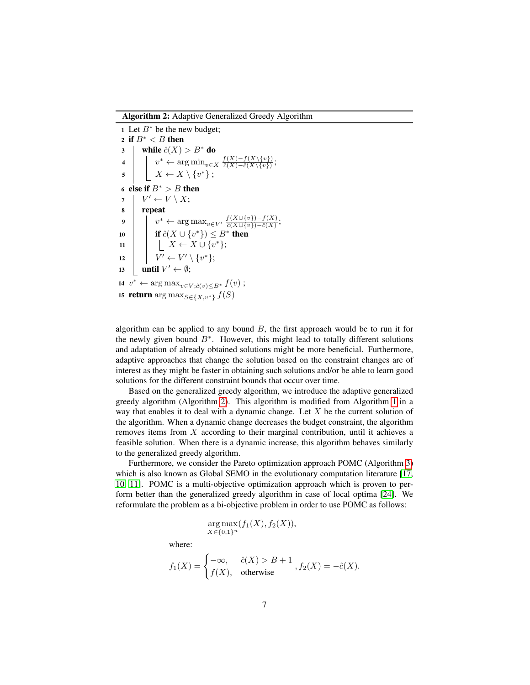Algorithm 2: Adaptive Generalized Greedy Algorithm

1 Let  $B^*$  be the new budget; 2 if  $B^* < B$  then 3 while  $\hat{c}(X) > B^*$  do 4  $\left| v^* \leftarrow \arg\min_{v \in X} \frac{f(X) - f(X \setminus \{v\})}{\hat{c}(X) - \hat{c}(X \setminus \{v\})}$  $\frac{f(X)-f(X\setminus\{v\})}{\hat{c}(X)-\hat{c}(X\setminus\{v\})};$  $\begin{array}{c|c} \text{5} & X \leftarrow X \setminus \{v^*\} \end{array}$ 6 else if  $B^* > B$  then 7  $\mid V' \leftarrow V \setminus X;$ 8 repeat 9  $\vert v^* \leftarrow \arg \max_{v \in V'} \frac{f(X \cup \{v\}) - f(X)}{\hat{c}(X \cup \{v\}) - \hat{c}(X)}$  $\frac{\partial (X \cup \{v\}) - f(X)}{\partial (X \cup \{v\}) - \hat{c}(X)}$ 10 **if**  $\hat{c}(X \cup \{v^*\}) \leq B^*$  then 11  $\vert X \leftarrow X \cup \{v^*\};$ 12  $| V' \leftarrow V' \setminus \{v^*\};$ 13 | until  $V' \leftarrow \emptyset$ ; 14  $v^* \leftarrow \arg \max_{v \in V; \hat{c}(v) \leq B^*} f(v)$ ; 15 return  $\argmax_{S \in \{X, v^*\}} f(S)$ 

<span id="page-6-0"></span>algorithm can be applied to any bound  $B$ , the first approach would be to run it for the newly given bound  $B^*$ . However, this might lead to totally different solutions and adaptation of already obtained solutions might be more beneficial. Furthermore, adaptive approaches that change the solution based on the constraint changes are of interest as they might be faster in obtaining such solutions and/or be able to learn good solutions for the different constraint bounds that occur over time.

Based on the generalized greedy algorithm, we introduce the adaptive generalized greedy algorithm (Algorithm [2\)](#page-6-0). This algorithm is modified from Algorithm [1](#page-5-0) in a way that enables it to deal with a dynamic change. Let  $X$  be the current solution of the algorithm. When a dynamic change decreases the budget constraint, the algorithm removes items from X according to their marginal contribution, until it achieves a feasible solution. When there is a dynamic increase, this algorithm behaves similarly to the generalized greedy algorithm.

Furthermore, we consider the Pareto optimization approach POMC (Algorithm [3\)](#page-7-0) which is also known as Global SEMO in the evolutionary computation literature [\[17,](#page-26-6) [10,](#page-26-7) [11\]](#page-26-3). POMC is a multi-objective optimization approach which is proven to perform better than the generalized greedy algorithm in case of local optima [\[24\]](#page-27-9). We reformulate the problem as a bi-objective problem in order to use POMC as follows:

$$
\arg \max_{X \in \{0,1\}^n} (f_1(X), f_2(X)),
$$

where:

$$
f_1(X) = \begin{cases} -\infty, & \hat{c}(X) > B + 1 \\ f(X), & \text{otherwise} \end{cases}, f_2(X) = -\hat{c}(X).
$$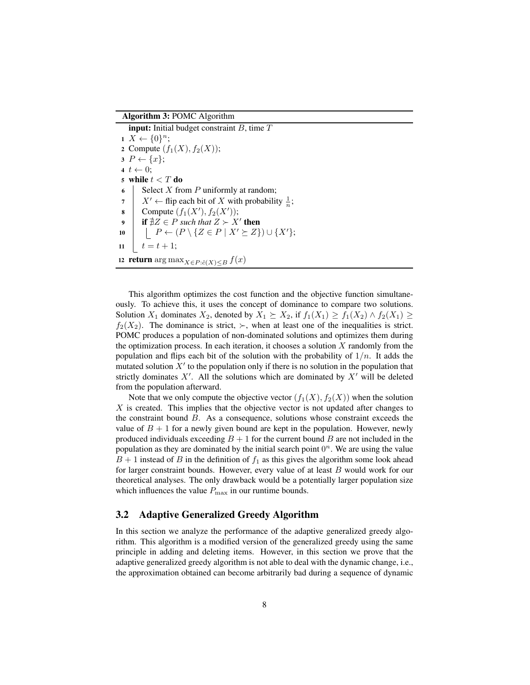Algorithm 3: POMC Algorithm

**input:** Initial budget constraint  $B$ , time  $T$  $X \leftarrow \{0\}^n$ ; 2 Compute  $(f_1(X), f_2(X))$ ;  $3 P \leftarrow \{x\};$ 4  $t \leftarrow 0$ ; 5 while  $t < T$  do 6 Select X from P uniformly at random; 7  $X' \leftarrow$  flip each bit of X with probability  $\frac{1}{n}$ ; 8 Compute  $(f_1(X'), f_2(X'))$ ; 9 **if**  $\sharp Z \in P$  *such that*  $Z \succ X'$  then 10  $\mid \quad | \quad P \leftarrow (P \setminus \{Z \in P \mid X' \succeq Z\}) \cup \{X'\};$  $11 \quad | \quad t = t + 1;$ 12 return arg max $_{X\in P:\hat{c}(X)\le B} f(x)$ 

<span id="page-7-0"></span>This algorithm optimizes the cost function and the objective function simultaneously. To achieve this, it uses the concept of dominance to compare two solutions. Solution  $X_1$  dominates  $X_2$ , denoted by  $X_1 \succeq X_2$ , if  $f_1(X_1) \geq f_1(X_2) \wedge f_2(X_1) \geq$  $f_2(X_2)$ . The dominance is strict,  $\succ$ , when at least one of the inequalities is strict. POMC produces a population of non-dominated solutions and optimizes them during the optimization process. In each iteration, it chooses a solution  $X$  randomly from the population and flips each bit of the solution with the probability of  $1/n$ . It adds the mutated solution  $X'$  to the population only if there is no solution in the population that strictly dominates  $X'$ . All the solutions which are dominated by  $X'$  will be deleted from the population afterward.

Note that we only compute the objective vector  $(f_1(X), f_2(X))$  when the solution  $X$  is created. This implies that the objective vector is not updated after changes to the constraint bound B. As a consequence, solutions whose constraint exceeds the value of  $B + 1$  for a newly given bound are kept in the population. However, newly produced individuals exceeding  $B + 1$  for the current bound  $B$  are not included in the population as they are dominated by the initial search point  $0<sup>n</sup>$ . We are using the value  $B + 1$  instead of B in the definition of  $f_1$  as this gives the algorithm some look ahead for larger constraint bounds. However, every value of at least B would work for our theoretical analyses. The only drawback would be a potentially larger population size which influences the value  $P_{\text{max}}$  in our runtime bounds.

#### <span id="page-7-1"></span>3.2 Adaptive Generalized Greedy Algorithm

In this section we analyze the performance of the adaptive generalized greedy algorithm. This algorithm is a modified version of the generalized greedy using the same principle in adding and deleting items. However, in this section we prove that the adaptive generalized greedy algorithm is not able to deal with the dynamic change, i.e., the approximation obtained can become arbitrarily bad during a sequence of dynamic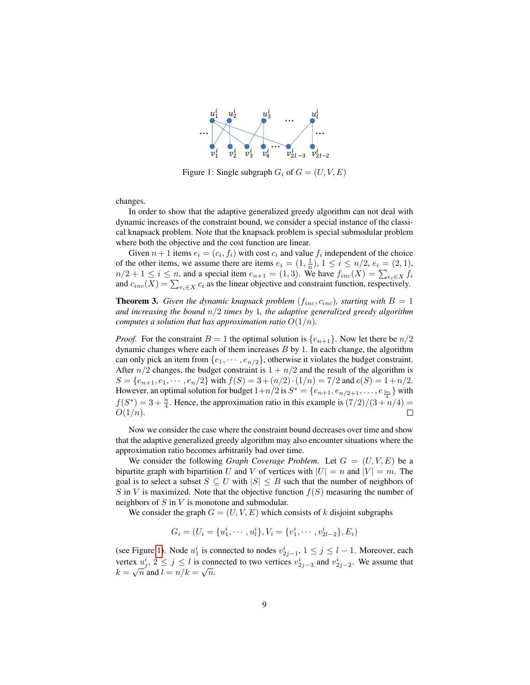<span id="page-8-0"></span>

Figure 1: Single subgraph  $G_i$  of  $G = (U, V, E)$ 

changes.

In order to show that the adaptive generalized greedy algorithm can not deal with dynamic increases of the constraint bound, we consider a special instance of the classical knapsack problem. Note that the knapsack problem is special submodular problem where both the objective and the cost function are linear.

Given  $n+1$  items  $e_i = (c_i, f_i)$  with cost  $c_i$  and value  $f_i$  independent of the choice of the other items, we assume there are items  $e_i = (1, \frac{1}{n}), 1 \le i \le n/2, e_i = (2, 1),$  $n/2 + 1 \le i \le n$ , and a special item  $e_{n+1} = (1, 3)$ . We have  $f_{inc}(X) = \sum_{e_i \in X} f_i$ and  $c_{inc}(X) = \sum_{e_i \in X} c_i$  as the linear objective and constraint function, respectively.

**Theorem 3.** *Given the dynamic knapsack problem*  $(f_{inc}, c_{inc})$ *, starting with*  $B = 1$ *and increasing the bound* n/2 *times by* 1*, the adaptive generalized greedy algorithm computes a solution that has approximation ratio*  $O(1/n)$ *.* 

*Proof.* For the constraint  $B = 1$  the optimal solution is  $\{e_{n+1}\}\$ . Now let there be  $n/2$ dynamic changes where each of them increases  $B$  by 1. In each change, the algorithm can only pick an item from  $\{e_1, \dots, e_{n/2}\}$ , otherwise it violates the budget constraint. After  $n/2$  changes, the budget constraint is  $1 + n/2$  and the result of the algorithm is  $S = \{e_{n+1}, e_1, \dots, e_n/2\}$  with  $f(S) = 3 + (n/2) \cdot (1/n) = 7/2$  and  $c(S) = 1 + n/2$ . However, an optimal solution for budget  $1+n/2$  is  $S^* = \{e_{n+1}, e_{n/2+1}, \ldots, e_{\frac{3n}{4}}\}$  with  $f(S^*) = 3 + \frac{n}{4}$ . Hence, the approximation ratio in this example is  $\frac{7}{2} \cdot \frac{7}{3} + \frac{n}{4} =$  $O(1/n)$ .  $\Box$ 

Now we consider the case where the constraint bound decreases over time and show that the adaptive generalized greedy algorithm may also encounter situations where the approximation ratio becomes arbitrarily bad over time.

We consider the following *Graph Coverage Problem*. Let  $G = (U, V, E)$  be a bipartite graph with bipartition U and V of vertices with  $|U| = n$  and  $|V| = m$ . The goal is to select a subset  $S \subseteq U$  with  $|S| \leq B$  such that the number of neighbors of S in V is maximized. Note that the objective function  $f(S)$  measuring the number of neighbors of  $S$  in  $V$  is monotone and submodular.

We consider the graph  $G = (U, V, E)$  which consists of k disjoint subgraphs

$$
G_i = (U_i = \{u_1^i, \cdots, u_l^i\}, V_i = \{v_1^i, \cdots, v_{2l-2}^i\}, E_i)
$$

(see Figure [1\)](#page-8-0). Node  $u_1^i$  is connected to nodes  $v_{2j-1}^i$ ,  $1 \le j \le l-1$ . Moreover, each vertex  $u_j^i$ ,  $2 \le j \le l$  is connected to two vertices  $v_{2j-3}^i$  and  $v_{2j-2}^i$ . We assume that  $k = \sqrt{n}$  and  $l = n/k = \sqrt{n}$ .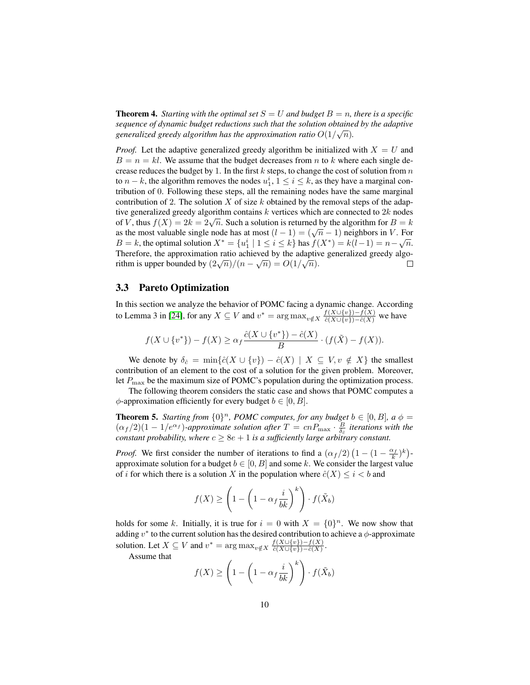**Theorem 4.** *Starting with the optimal set*  $S = U$  *and budget*  $B = n$ *, there is a specific sequence of dynamic budget reductions such that the solution obtained by the adaptive* generalized greedy algorithm has the approximation ratio  $O(1/\sqrt{n})$ .

*Proof.* Let the adaptive generalized greedy algorithm be initialized with  $X = U$  and  $B = n = kl$ . We assume that the budget decreases from n to k where each single decrease reduces the budget by 1. In the first  $k$  steps, to change the cost of solution from  $n$ to  $n - k$ , the algorithm removes the nodes  $u_1^i$ ,  $1 \le i \le k$ , as they have a marginal contribution of 0. Following these steps, all the remaining nodes have the same marginal contribution of 2. The solution  $X$  of size  $k$  obtained by the removal steps of the adaptive generalized greedy algorithm contains  $k$  vertices which are connected to  $2k$  nodes of V, thus  $f(X) = 2k = 2\sqrt{n}$ . Such a solution is returned by the algorithm for  $B = k$ or v, thus  $f(x) = 2k = 2\sqrt{n}$ . Such a solution is returned by the algorithm for  $D = k$ <br>as the most valuable single node has at most  $(l - 1) = (\sqrt{n} - 1)$  neighbors in V. For B = k, the optimal solution  $X^* = \{u_1^i \mid 1 \le i \le k\}$  has  $f(X^*) = k(l-1) = n - \sqrt{n}$ . Therefore, the approximation ratio achieved by the adaptive generalized greedy algo-<br>∴ rithm is upper bounded by  $\left(\frac{2\sqrt{n}}{n}\right)/(n-\sqrt{n}) = O(1/\sqrt{n}).$  $\Box$ 

#### 3.3 Pareto Optimization

In this section we analyze the behavior of POMC facing a dynamic change. According to Lemma 3 in [\[24\]](#page-27-9), for any  $X \subseteq V$  and  $v^* = \arg \max_{v \notin X} \frac{f(X \cup \{v\}) - f(X)}{\partial(X \cup \{v\}) - \partial(X)}$  we have

$$
f(X \cup \{v^*\}) - f(X) \ge \alpha_f \frac{\hat{c}(X \cup \{v^*\}) - \hat{c}(X)}{B} \cdot (f(\tilde{X}) - f(X)).
$$

We denote by  $\delta_{\hat{c}} = \min\{\hat{c}(X \cup \{v\}) - \hat{c}(X) \mid X \subseteq V, v \notin X\}$  the smallest contribution of an element to the cost of a solution for the given problem. Moreover, let  $P_{\text{max}}$  be the maximum size of POMC's population during the optimization process.

The following theorem considers the static case and shows that POMC computes a  $\phi$ -approximation efficiently for every budget  $b \in [0, B]$ .

<span id="page-9-0"></span>**Theorem 5.** *Starting from*  $\{0\}^n$ *, POMC computes, for any budget*  $b \in [0, B]$ *, a*  $\phi =$  $(\alpha_f/2)(1-1/e^{\alpha_f})$ -approximate solution after  $T = cnP_{\text{max}} \cdot \frac{B}{\delta_c}$  iterations with the *constant probability, where*  $c \geq 8e + 1$  *is a sufficiently large arbitrary constant.* 

*Proof.* We first consider the number of iterations to find a  $(\alpha_f/2) (1 - (1 - \frac{\alpha_f}{k})^k)$ approximate solution for a budget  $b \in [0, B]$  and some k. We consider the largest value of i for which there is a solution X in the population where  $\hat{c}(X) \leq i < b$  and

$$
f(X) \ge \left(1 - \left(1 - \alpha_f \frac{i}{bk}\right)^k\right) \cdot f(\tilde{X}_b)
$$

holds for some k. Initially, it is true for  $i = 0$  with  $X = \{0\}^n$ . We now show that adding  $v^*$  to the current solution has the desired contribution to achieve a  $\phi$ -approximate solution. Let  $X \subseteq V$  and  $v^* = \arg \max_{v \notin X} \frac{f(X \cup \{v\}) - f(X)}{\hat{c}(X \cup \{v\}) - \hat{c}(X)}$  $\frac{f(X \cup \{v\}) - f(X)}{\hat{c}(X \cup \{v\}) - \hat{c}(X)}.$ 

Assume that

$$
f(X) \ge \left(1 - \left(1 - \alpha_f \frac{i}{bk}\right)^k\right) \cdot f(\tilde{X}_b)
$$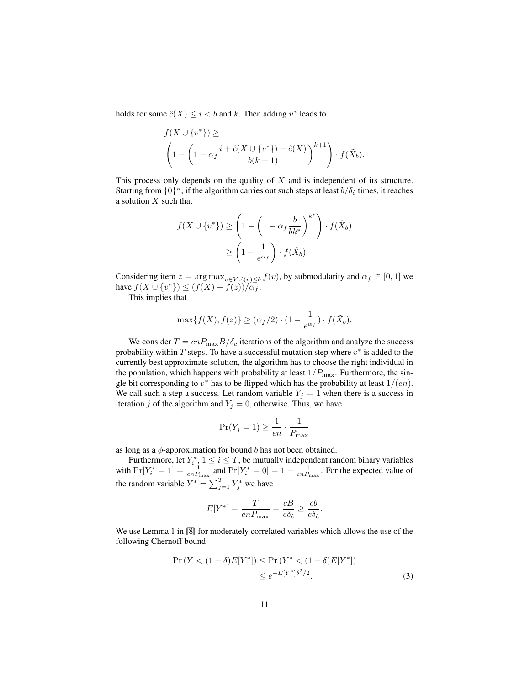holds for some  $\hat{c}(X) \leq i < b$  and k. Then adding  $v^*$  leads to

$$
f(X \cup \{v^*\}) \ge
$$
  

$$
\left(1 - \left(1 - \alpha_f \frac{i + \hat{c}(X \cup \{v^*\}) - \hat{c}(X)}{b(k+1)}\right)^{k+1}\right) \cdot f(\tilde{X}_b).
$$

This process only depends on the quality of  $X$  and is independent of its structure. Starting from  $\{0\}^n$ , if the algorithm carries out such steps at least  $b/\delta_{\hat{c}}$  times, it reaches a solution  $X$  such that

$$
f(X \cup \{v^*\}) \ge \left(1 - \left(1 - \alpha_f \frac{b}{bk^*}\right)^{k^*}\right) \cdot f(\tilde{X}_b)
$$

$$
\ge \left(1 - \frac{1}{e^{\alpha_f}}\right) \cdot f(\tilde{X}_b).
$$

Considering item  $z = \arg \max_{v \in V : \hat{c}(v) < b} f(v)$ , by submodularity and  $\alpha_f \in [0, 1]$  we have  $f(X \cup \{v^*\}) \le (f(X) + \overline{f(z)}) / \overline{\alpha_f}$ .

This implies that

$$
\max\{f(X), f(z)\} \ge (\alpha_f/2) \cdot (1 - \frac{1}{e^{\alpha_f}}) \cdot f(\tilde{X}_b).
$$

We consider  $T = cnP_{\text{max}}B/\delta_{\hat{c}}$  iterations of the algorithm and analyze the success probability within  $T$  steps. To have a successful mutation step where  $v^*$  is added to the currently best approximate solution, the algorithm has to choose the right individual in the population, which happens with probability at least  $1/P_{\text{max}}$ . Furthermore, the single bit corresponding to  $v^*$  has to be flipped which has the probability at least  $1/(en)$ . We call such a step a success. Let random variable  $Y_j = 1$  when there is a success in iteration j of the algorithm and  $Y_j = 0$ , otherwise. Thus, we have

$$
\Pr(Y_j = 1) \ge \frac{1}{en} \cdot \frac{1}{P_{\text{max}}}
$$

as long as a  $\phi$ -approximation for bound b has not been obtained.

Furthermore, let  $Y_i^*$ ,  $1 \le i \le T$ , be mutually independent random binary variables with  $Pr[Y_i^* = 1] = \frac{1}{enP_{\text{max}}}$  and  $Pr[Y_i^* = 0] = 1 - \frac{1}{enP_{\text{max}}}$ . For the expected value of the random variable  $Y^* = \sum_{j=1}^T Y_j^*$  we have

<span id="page-10-0"></span>
$$
E[Y^*] = \frac{T}{enP_{\text{max}}} = \frac{cB}{e\delta_{\hat{c}}} \ge \frac{cb}{e\delta_{\hat{c}}}.
$$

We use Lemma 1 in [\[8\]](#page-26-8) for moderately correlated variables which allows the use of the following Chernoff bound

$$
\Pr(Y < (1 - \delta)E[Y^*]) \le \Pr(Y^* < (1 - \delta)E[Y^*]) \\
\le e^{-E[Y^*]\delta^2/2}.\n \tag{3}
$$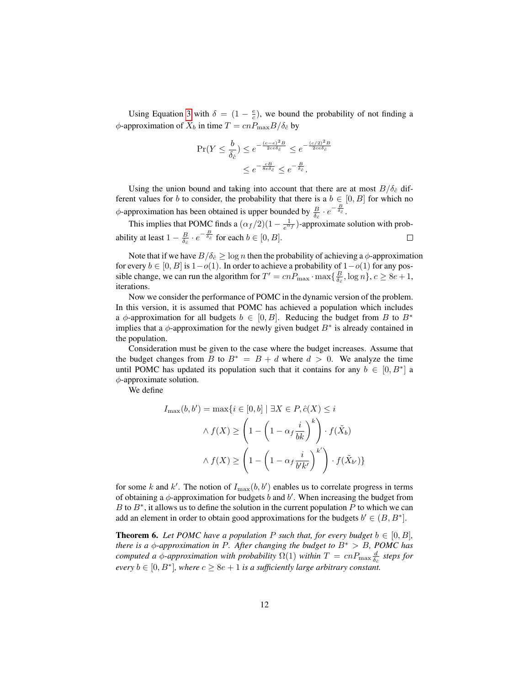Using Equation [3](#page-10-0) with  $\delta = (1 - \frac{e}{c})$ , we bound the probability of not finding a  $\phi$ -approximation of  $\tilde{X}_b$  in time  $T = cnP_{\text{max}}B/\delta_{\hat{c}}$  by

$$
\Pr(Y \le \frac{b}{\delta_{\hat{c}}}) \le e^{-\frac{(c-e)^2B}{2ce\delta_{\hat{c}}}} \le e^{-\frac{(c/2)^2B}{2ce\delta_{\hat{c}}}}
$$

$$
\le e^{-\frac{cB}{8e\delta_{\hat{c}}}} \le e^{-\frac{B}{\delta_{\hat{c}}}}.
$$

Using the union bound and taking into account that there are at most  $B/\delta_{\hat{c}}$  different values for b to consider, the probability that there is a  $b \in [0, B]$  for which no  $\phi$ -approximation has been obtained is upper bounded by  $\frac{B}{\delta_{\hat{e}}} \cdot e^{-\frac{B}{\delta_{\hat{e}}}}$ .

This implies that POMC finds a  $(\alpha_f/2)(1-\frac{1}{e^{\alpha_f}})$ -approximate solution with probability at least  $1 - \frac{B}{\delta_{\hat{c}}} \cdot e^{-\frac{B}{\delta_{\hat{c}}}}$  for each  $b \in [0, B]$ .  $\Box$ 

Note that if we have  $B/\delta_{\hat{c}} \geq \log n$  then the probability of achieving a  $\phi$ -approximation for every  $b \in [0, B]$  is  $1-o(1)$ . In order to achieve a probability of  $1-o(1)$  for any possible change, we can run the algorithm for  $T' = cnP_{\text{max}} \cdot \max\{\frac{B}{\delta_c}, \log n\}, c \ge 8e + 1$ , iterations.

Now we consider the performance of POMC in the dynamic version of the problem. In this version, it is assumed that POMC has achieved a population which includes a  $\phi$ -approximation for all budgets  $b \in [0, B]$ . Reducing the budget from B to  $B^*$ implies that a  $\phi$ -approximation for the newly given budget  $B^*$  is already contained in the population.

Consideration must be given to the case where the budget increases. Assume that the budget changes from B to  $B^* = B + d$  where  $d > 0$ . We analyze the time until POMC has updated its population such that it contains for any  $b \in [0, B^*]$  a  $\phi$ -approximate solution.

We define

$$
I_{\max}(b, b') = \max\{i \in [0, b] \mid \exists X \in P, \hat{c}(X) \le i
$$

$$
\wedge f(X) \ge \left(1 - \left(1 - \alpha_f \frac{i}{bk}\right)^k\right) \cdot f(\tilde{X}_b)
$$

$$
\wedge f(X) \ge \left(1 - \left(1 - \alpha_f \frac{i}{b'k'}\right)^{k'}\right) \cdot f(\tilde{X}_{b'})\}
$$

for some k and k'. The notion of  $I_{\text{max}}(b, b')$  enables us to correlate progress in terms of obtaining a  $\phi$ -approximation for budgets b and b'. When increasing the budget from B to  $B^*$ , it allows us to define the solution in the current population P to which we can add an element in order to obtain good approximations for the budgets  $b' \in (B, B^*]$ .

**Theorem 6.** Let POMC have a population P such that, for every budget  $b \in [0, B]$ , *there is a*  $\phi$ *-approximation in P. After changing the budget to*  $B^* > B$ *, POMC has computed a*  $\phi$ *-approximation with probability*  $\Omega(1)$  *within*  $T = cnP_{\text{max}}\frac{d}{\delta_{\hat{c}}}$  *steps for every*  $b \in [0, B^*]$ , where  $c \ge 8e + 1$  *is a sufficiently large arbitrary constant.*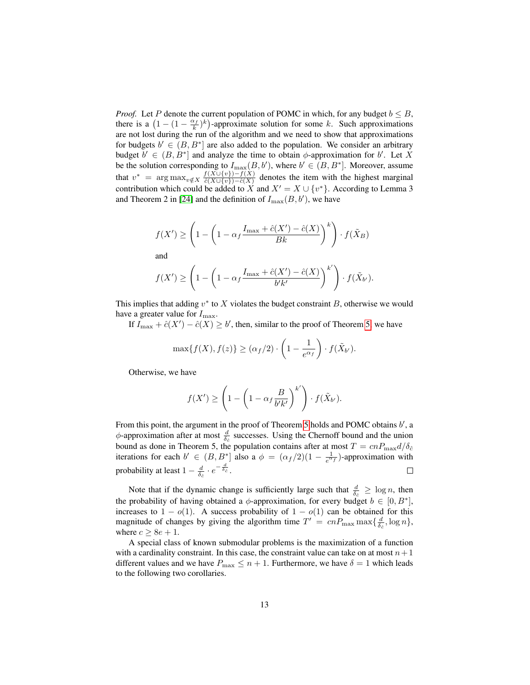*Proof.* Let P denote the current population of POMC in which, for any budget  $b \leq B$ , there is a  $(1 - (1 - \frac{\alpha_f}{k})^k)$ -approximate solution for some k. Such approximations are not lost during the run of the algorithm and we need to show that approximations for budgets  $b' \in (B, B^*]$  are also added to the population. We consider an arbitrary budget  $b' \in (B, B^*]$  and analyze the time to obtain  $\phi$ -approximation for b'. Let X be the solution corresponding to  $I_{\text{max}}(B, b')$ , where  $b' \in (B, B^*]$ . Moreover, assume that  $v^* = \arg \max_{v \notin X} \frac{f(X \cup \{v\}) - f(X)}{\partial(X \cup \{v\}) - \partial(X)}$  $\frac{\partial f(X \cup \{v\}) - f(X)}{\partial (X \cup \{v\}) - \hat{c}(X)}$  denotes the item with the highest marginal contribution which could be added to X and  $X' = X \cup \{v^*\}$ . According to Lemma 3 and Theorem 2 in [\[24\]](#page-27-9) and the definition of  $I_{\text{max}}(B, b')$ , we have

$$
f(X') \ge \left(1 - \left(1 - \alpha_f \frac{I_{\max} + \hat{c}(X') - \hat{c}(X)}{Bk}\right)^k\right) \cdot f(\tilde{X}_B)
$$

and

$$
f(X') \ge \left(1 - \left(1 - \alpha_f \frac{I_{\max} + \hat{c}(X') - \hat{c}(X)}{b'k'}\right)^{k'}\right) \cdot f(\tilde{X}_{b'}).
$$

This implies that adding  $v^*$  to X violates the budget constraint B, otherwise we would have a greater value for  $I_{\text{max}}$ .

If  $I_{\text{max}} + \hat{c}(X') - \hat{c}(X) \geq b'$ , then, similar to the proof of Theorem [5,](#page-9-0) we have

$$
\max\{f(X), f(z)\} \ge (\alpha_f/2) \cdot \left(1 - \frac{1}{e^{\alpha_f}}\right) \cdot f(\tilde{X}_{b'}).
$$

Otherwise, we have

$$
f(X') \ge \left(1 - \left(1 - \alpha_f \frac{B}{b'k'}\right)^{k'}\right) \cdot f(\tilde{X}_{b'}).
$$

From this point, the argument in the proof of Theorem [5](#page-9-0) holds and POMC obtains  $b'$ , a  $\phi$ -approximation after at most  $\frac{d}{\delta \varepsilon}$  successes. Using the Chernoff bound and the union bound as done in Theorem 5, the population contains after at most  $T = cnP_{\text{max}}d/\delta_{\hat{c}}$ iterations for each  $b' \in (B, B^*]$  also a  $\phi = (\alpha_f/2)(1 - \frac{1}{e^{\alpha_f}})$ -approximation with probability at least  $1 - \frac{d}{\delta_{\hat{e}}} \cdot e^{-\frac{d}{\delta_{\hat{e}}}}$ .  $\Box$ 

Note that if the dynamic change is sufficiently large such that  $\frac{d}{\delta \epsilon} \geq \log n$ , then the probability of having obtained a  $\phi$ -approximation, for every budget  $b \in [0, B^*]$ , increases to  $1 - o(1)$ . A success probability of  $1 - o(1)$  can be obtained for this magnitude of changes by giving the algorithm time  $T' = cnP_{\text{max}} \max\{\frac{d}{\delta_{\hat{c}}}, \log n\},\$ where  $c \ge 8e + 1$ .

A special class of known submodular problems is the maximization of a function with a cardinality constraint. In this case, the constraint value can take on at most  $n+1$ different values and we have  $P_{\text{max}} \leq n + 1$ . Furthermore, we have  $\delta = 1$  which leads to the following two corollaries.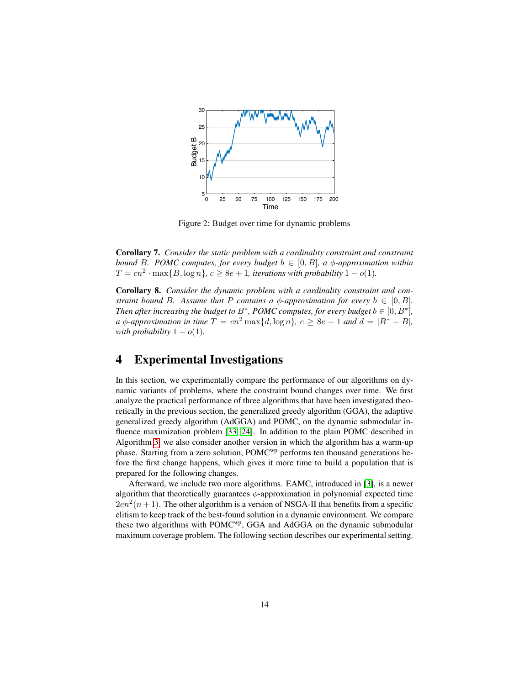<span id="page-13-1"></span>

Figure 2: Budget over time for dynamic problems

Corollary 7. *Consider the static problem with a cardinality constraint and constraint bound* B. POMC computes, for every budget  $b \in [0, B]$ , a  $\phi$ -approximation within  $T = cn^2 \cdot \max\{B, \log n\}, c \ge 8e + 1$ , *iterations with probability*  $1 - o(1)$ .

Corollary 8. *Consider the dynamic problem with a cardinality constraint and constraint bound B. Assume that* P *contains a*  $\phi$ *-approximation for every*  $b \in [0, B]$ *. Then after increasing the budget to*  $B^*$ , *POMC computes, for every budget*  $b \in [0, B^*]$ , *a*  $\phi$ -*approximation in time*  $T = cn^2 \max\{d, \log n\}$ ,  $c > 8e + 1$  *and*  $d = |B^* - B|$ , *with probability*  $1 - o(1)$ *.* 

### <span id="page-13-0"></span>4 Experimental Investigations

In this section, we experimentally compare the performance of our algorithms on dynamic variants of problems, where the constraint bound changes over time. We first analyze the practical performance of three algorithms that have been investigated theoretically in the previous section, the generalized greedy algorithm (GGA), the adaptive generalized greedy algorithm (AdGGA) and POMC, on the dynamic submodular influence maximization problem [\[33,](#page-28-1) [24\]](#page-27-9). In addition to the plain POMC described in Algorithm [3,](#page-7-0) we also consider another version in which the algorithm has a warm-up phase. Starting from a zero solution, POMC<sup>wp</sup> performs ten thousand generations before the first change happens, which gives it more time to build a population that is prepared for the following changes.

Afterward, we include two more algorithms. EAMC, introduced in [\[3\]](#page-25-1), is a newer algorithm that theoretically guarantees  $\phi$ -approximation in polynomial expected time  $2en<sup>2</sup>(n+1)$ . The other algorithm is a version of NSGA-II that benefits from a specific elitism to keep track of the best-found solution in a dynamic environment. We compare these two algorithms with POMCwp, GGA and AdGGA on the dynamic submodular maximum coverage problem. The following section describes our experimental setting.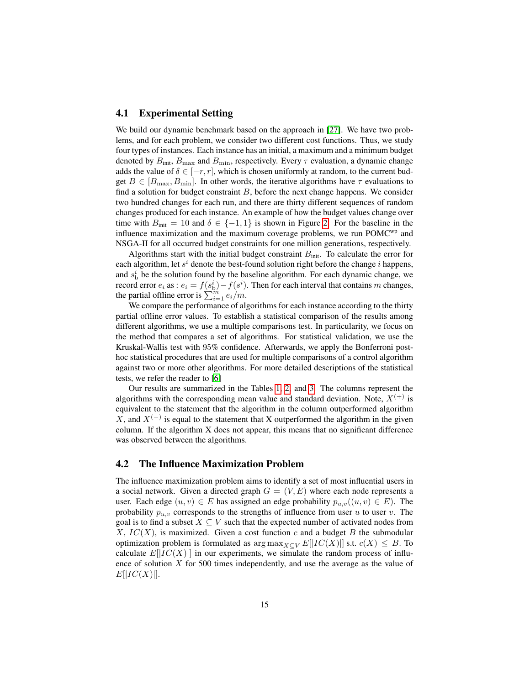#### <span id="page-14-1"></span>4.1 Experimental Setting

We build our dynamic benchmark based on the approach in [\[27\]](#page-27-4). We have two problems, and for each problem, we consider two different cost functions. Thus, we study four types of instances. Each instance has an initial, a maximum and a minimum budget denoted by  $B_{\text{init}}$ ,  $B_{\text{max}}$  and  $B_{\text{min}}$ , respectively. Every  $\tau$  evaluation, a dynamic change adds the value of  $\delta \in [-r, r]$ , which is chosen uniformly at random, to the current budget  $B \in [B_{\text{max}}, B_{\text{min}}]$ . In other words, the iterative algorithms have  $\tau$  evaluations to find a solution for budget constraint  $B$ , before the next change happens. We consider two hundred changes for each run, and there are thirty different sequences of random changes produced for each instance. An example of how the budget values change over time with  $B_{\text{init}} = 10$  and  $\delta \in \{-1, 1\}$  is shown in Figure [2.](#page-13-1) For the baseline in the influence maximization and the maximum coverage problems, we run  $POMC^{wp}$  and NSGA-II for all occurred budget constraints for one million generations, respectively.

Algorithms start with the initial budget constraint  $B<sub>init</sub>$ . To calculate the error for each algorithm, let  $s^i$  denote the best-found solution right before the change i happens, and  $s_b^i$  be the solution found by the baseline algorithm. For each dynamic change, we record error  $e_i$  as :  $e_i = f(s_b^i) - f(s^i)$ . Then for each interval that contains m changes, the partial offline error is  $\sum_{i=1}^{m} e_i/m$ .

We compare the performance of algorithms for each instance according to the thirty partial offline error values. To establish a statistical comparison of the results among different algorithms, we use a multiple comparisons test. In particularity, we focus on the method that compares a set of algorithms. For statistical validation, we use the Kruskal-Wallis test with 95% confidence. Afterwards, we apply the Bonferroni posthoc statistical procedures that are used for multiple comparisons of a control algorithm against two or more other algorithms. For more detailed descriptions of the statistical tests, we refer the reader to [\[6\]](#page-26-9)

Our results are summarized in the Tables [1,](#page-16-0) [2,](#page-21-0) and [3.](#page-22-0) The columns represent the algorithms with the corresponding mean value and standard deviation. Note,  $X^{(+)}$  is equivalent to the statement that the algorithm in the column outperformed algorithm X, and  $X^{(-)}$  is equal to the statement that X outperformed the algorithm in the given column. If the algorithm X does not appear, this means that no significant difference was observed between the algorithms.

#### <span id="page-14-0"></span>4.2 The Influence Maximization Problem

The influence maximization problem aims to identify a set of most influential users in a social network. Given a directed graph  $G = (V, E)$  where each node represents a user. Each edge  $(u, v) \in E$  has assigned an edge probability  $p_{u, v}((u, v) \in E)$ . The probability  $p_{u,v}$  corresponds to the strengths of influence from user u to user v. The goal is to find a subset  $X \subseteq V$  such that the expected number of activated nodes from X,  $IC(X)$ , is maximized. Given a cost function c and a budget B the submodular optimization problem is formulated as  $\arg \max_{X \subseteq V} E[|IC(X)|]$  s.t.  $c(X) \leq B$ . To calculate  $E[|IC(X)|]$  in our experiments, we simulate the random process of influence of solution  $X$  for 500 times independently, and use the average as the value of  $E[|IC(X)|].$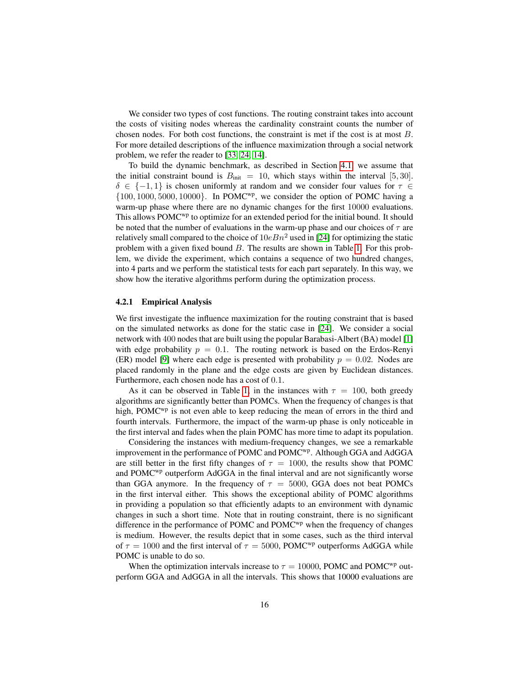We consider two types of cost functions. The routing constraint takes into account the costs of visiting nodes whereas the cardinality constraint counts the number of chosen nodes. For both cost functions, the constraint is met if the cost is at most B. For more detailed descriptions of the influence maximization through a social network problem, we refer the reader to [\[33,](#page-28-1) [24,](#page-27-9) [14\]](#page-26-10).

To build the dynamic benchmark, as described in Section [4.1,](#page-14-1) we assume that the initial constraint bound is  $B<sub>init</sub> = 10$ , which stays within the interval [5, 30].  $\delta \in \{-1,1\}$  is chosen uniformly at random and we consider four values for  $\tau \in$  $\{100, 1000, 5000, 10000\}$ . In POMC<sup>wp</sup>, we consider the option of POMC having a warm-up phase where there are no dynamic changes for the first 10000 evaluations. This allows  $POMC^{wp}$  to optimize for an extended period for the initial bound. It should be noted that the number of evaluations in the warm-up phase and our choices of  $\tau$  are relatively small compared to the choice of  $10eBn^2$  used in [\[24\]](#page-27-9) for optimizing the static problem with a given fixed bound B. The results are shown in Table [1.](#page-16-0) For this problem, we divide the experiment, which contains a sequence of two hundred changes, into 4 parts and we perform the statistical tests for each part separately. In this way, we show how the iterative algorithms perform during the optimization process.

#### 4.2.1 Empirical Analysis

We first investigate the influence maximization for the routing constraint that is based on the simulated networks as done for the static case in [\[24\]](#page-27-9). We consider a social network with 400 nodes that are built using the popular Barabasi-Albert (BA) model [\[1\]](#page-25-2) with edge probability  $p = 0.1$ . The routing network is based on the Erdos-Renyi (ER) model [\[9\]](#page-26-11) where each edge is presented with probability  $p = 0.02$ . Nodes are placed randomly in the plane and the edge costs are given by Euclidean distances. Furthermore, each chosen node has a cost of 0.1.

As it can be observed in Table [1,](#page-16-0) in the instances with  $\tau = 100$ , both greedy algorithms are significantly better than POMCs. When the frequency of changes is that high, POMC<sup>wp</sup> is not even able to keep reducing the mean of errors in the third and fourth intervals. Furthermore, the impact of the warm-up phase is only noticeable in the first interval and fades when the plain POMC has more time to adapt its population.

Considering the instances with medium-frequency changes, we see a remarkable improvement in the performance of POMC and POMC<sup>wp</sup>. Although GGA and AdGGA are still better in the first fifty changes of  $\tau = 1000$ , the results show that POMC and POMC<sup>wp</sup> outperform AdGGA in the final interval and are not significantly worse than GGA anymore. In the frequency of  $\tau = 5000$ , GGA does not beat POMCs in the first interval either. This shows the exceptional ability of POMC algorithms in providing a population so that efficiently adapts to an environment with dynamic changes in such a short time. Note that in routing constraint, there is no significant difference in the performance of POMC and POMC<sup> $wp$ </sup> when the frequency of changes is medium. However, the results depict that in some cases, such as the third interval of  $\tau = 1000$  and the first interval of  $\tau = 5000$ , POMC<sup>wp</sup> outperforms AdGGA while POMC is unable to do so.

When the optimization intervals increase to  $\tau = 10000$ , POMC and POMC<sup>wp</sup> outperform GGA and AdGGA in all the intervals. This shows that 10000 evaluations are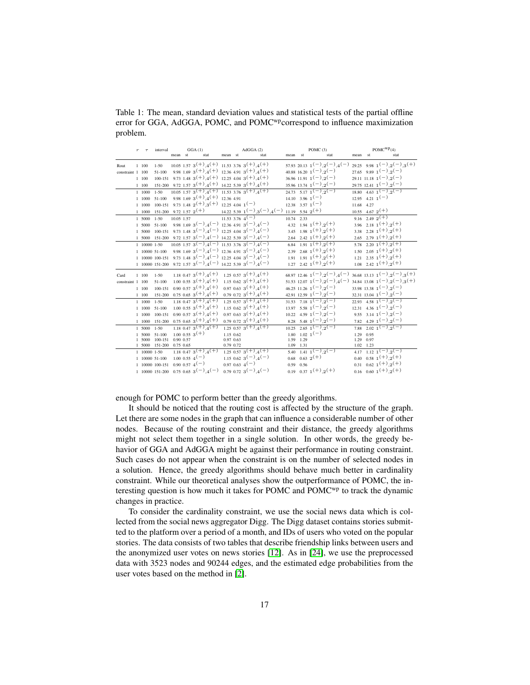<span id="page-16-0"></span>Table 1: The mean, standard deviation values and statistical tests of the partial offline error for GGA, AdGGA, POMC, and POMC<sup>wp</sup>correspond to influence maximization problem.

|                  | $\boldsymbol{r}$ |              | interval                                             |                | GGA(1)                                                                                          |           | AdGGA(2)                                                                                        | POMC $(3)$ |               |                                                                                    |         | $POMC^{WP}(4)$ |                                                                      |
|------------------|------------------|--------------|------------------------------------------------------|----------------|-------------------------------------------------------------------------------------------------|-----------|-------------------------------------------------------------------------------------------------|------------|---------------|------------------------------------------------------------------------------------|---------|----------------|----------------------------------------------------------------------|
|                  |                  |              |                                                      | mean st        | stat                                                                                            | mean st   | stat                                                                                            | mean st    |               | stat                                                                               | mean st |                | stat                                                                 |
| Rout             |                  | 1 100        | $1 - 50$                                             |                | $10.05$ 1.57 3 <sup>(+)</sup> ,4 <sup>(+)</sup> 11.53 3.76 3 <sup>(+)</sup> ,4 <sup>(+)</sup>   |           |                                                                                                 |            |               | 57.93 20.13 $1(-)$ , $2(-)$ , $4(-)$                                               |         |                | 29.25 9.98 $1(-)$ , $2(-)$ , $3(+)$                                  |
| constraint 1 100 |                  |              | 51-100                                               |                | 9.98 1.69 $3^{(+)}$ , 4 <sup>(+)</sup> 12.36 4.91 $3^{(+)}$ , 4 <sup>(+)</sup>                  |           |                                                                                                 |            |               | 40.88 16.20 $1(-)$ , $2(-)$                                                        |         |                | 27.65 9.89 $1(-)$ , $2(-)$                                           |
|                  |                  | $1 - 100$    |                                                      |                | 100-151 9.73 1.48 $3^{(+)}$ , 4 <sup>(+)</sup> 12.25 4.04 $3^{(+)}$ , 4 <sup>(+)</sup>          |           |                                                                                                 |            |               | $36.96$ 11.91 $1(-)$ , $2(-)$                                                      |         |                | $29.11$ 11.18 $1(-)$ , $2(-)$                                        |
|                  |                  | 1 100        |                                                      |                | 151-200 9.72 1.57 $3^{(+)}$ , $4^{(+)}$ 14.22 5.39 $3^{(+)}$ , $4^{(+)}$                        |           |                                                                                                 |            |               | $35.96$ 13.74 $1(-)$ , $2(-)$                                                      |         |                | $29.75$ 12.41 $1(-)$ , $2(-)$                                        |
|                  |                  | 1 1000       | $1 - 50$                                             |                | $10.05$ 1.57 3 <sup>(+)</sup> , 4 <sup>(+)</sup> 11.53 3.76 3 <sup>(+)</sup> , 4 <sup>(+)</sup> |           |                                                                                                 |            |               | 24.73 5.17 $\overline{1(-)}$ $\overline{2(-)}$                                     |         |                | $18.80 \quad 4.63 \quad 1(-) \quad 2(-)$                             |
|                  |                  | 1 1000       | 51-100                                               |                | 9.98 1.69 $3^{(+)}$ , $4^{(+)}$ 12.36 4.91                                                      |           |                                                                                                 |            |               | $14.10 \t3.96 \t1(-)$                                                              |         |                | $12.95$ 4.21 1 <sup>(-)</sup>                                        |
|                  |                  | 1 1000       |                                                      |                | $100-151$ 9.73 1.48 $2(+)$ , $3(+)$ 12.25 4.04 $1(-)$                                           |           |                                                                                                 |            |               | $12.38$ $3.57$ $1(-)$                                                              |         | 11.68 4.27     |                                                                      |
|                  |                  | $1 - 1000$   |                                                      |                |                                                                                                 |           | 151-200 9.72 1.57 $2^{(+)}$ 14.22 5.39 $1^{(-)}$ , $3^{(-)}$ , $4^{(-)}$                        |            |               | 11.19 5.54 $2^{(+)}$                                                               |         |                | $10.55 \quad 4.67 \quad 2^{(+)}$                                     |
|                  |                  | 1 5000       | $1 - 50$                                             | $10.05$ $1.57$ | $\frac{11.53 \cdot 3.76}{4}$ $\frac{4}{-}$                                                      |           |                                                                                                 |            | $10.74$ 2.33  |                                                                                    |         |                | $9.16 \t2.49 \t2^{(+)}$                                              |
|                  |                  |              | 1 5000 51-100                                        |                | 9.98 1.69 $3(-)$ , $4(-)$ 12.36 4.91 $3(-)$ , $4(-)$                                            |           |                                                                                                 |            |               | 4.32 1.94 $1^{(+)}$ $2^{(+)}$                                                      |         |                | 3.96 2.18 $1^{(+)}$ , $2^{(+)}$                                      |
|                  |                  |              |                                                      |                | 1 5000 100-151 9.73 1.48 $3(-)$ , $4(-)$ 12.25 4.04 $3(-)$ , $4(-)$                             |           |                                                                                                 |            |               | 3.45 1.98 $1(+)$ , 2(+)                                                            |         |                | 3.38 2.28 $1(+)$ $2(+)$                                              |
|                  |                  |              |                                                      |                | 1 5000 151-200 9.72 1.57 $3(-)$ , $4(-)$ 14.22 5.39 $3(-)$ , $4(-)$                             |           |                                                                                                 |            |               | 2.64 2.42 $1^{(+)}$ , $2^{(+)}$                                                    |         |                | 2.65 2.79 $1(+)$ , $2(+)$                                            |
|                  |                  | 1 10000 1-50 |                                                      |                |                                                                                                 |           | $10.05$ 1.57 3 <sup>(-)</sup> , 4 <sup>(-)</sup> 11.53 3.76 3 <sup>(-)</sup> , 4 <sup>(-)</sup> |            |               | 6.84 1.91 $1^{(+)}$ , $2^{(+)}$                                                    |         |                | 5.78 2.20 $1(+)$ , $2(+)$                                            |
|                  |                  |              | 1 10000 51-100                                       |                | 9.98 1.69 $3(-)$ , $4(-)$ 12.36 4.91 $3(-)$ , $4(-)$                                            |           |                                                                                                 |            |               | 2.39 2.68 $1(+)$ , $2(+)$                                                          |         |                | $1.50$ $2.05$ $1(+)$ $2(+)$                                          |
|                  |                  |              |                                                      |                | 1 10000 100-151 9.73 1.48 $3(-)$ , $4(-)$ 12.25 4.04 $3(-)$ , $4(-)$                            |           |                                                                                                 |            |               | $1.91 \t1.91 \t1(+)$ , 2 <sup>(+)</sup>                                            |         |                | $1.21 \t2.35 \t1(+) 2(+)$                                            |
|                  |                  |              |                                                      |                | 1 10000 151-200 9.72 1.57 $3(-)$ , $4(-)$ 14.22 5.39 $3(-)$ , $4(-)$                            |           |                                                                                                 |            |               | $1.27$ $2.42$ $1^{(+)}$ $2^{(+)}$                                                  |         |                | $1.08$ $2.42$ $1^{(+)}$ $2^{(+)}$                                    |
| Card             |                  | 1 100        | $1 - 50$                                             |                | 1.18 0.47 $3^{(+)}$ , 4 <sup>(+)</sup>                                                          |           | $1.25$ 0.57 3 <sup>(+)</sup> ,4 <sup>(+)</sup>                                                  |            |               | 68.97 12.46 $1(-)$ , $2(-)$ , $4(-)$                                               |         |                | 36.68 13.13 $1(-)$ , $2(-)$ , $3(+)$                                 |
| constraint 1 100 |                  |              | 51-100                                               |                | $1.00$ 0.55 $3^{(+)}$ , 4 <sup>(+)</sup>                                                        |           | 1.15 0.62 $3^{(+)}$ , 4 <sup>(+)</sup>                                                          |            |               | $51.53$ 12.07 $1(-)$ , $2(-)$ , $4(-)$                                             |         |                | $34.84$ 13.08 1 <sup>(-)</sup> , 2 <sup>(-)</sup> , 3 <sup>(+)</sup> |
|                  |                  | $1 - 100$    |                                                      |                | $100-151$ 0.90 0.57 $3(+)$ , $4(+)$                                                             |           | $0.97$ $0.63$ $3^{(+)}$ , $4^{(+)}$                                                             |            |               | $46.25$ 11.26 $1(-)$ , $2(-)$                                                      |         |                | $33.98$ 13.38 1 <sup>(-)</sup> , 2 <sup>(-)</sup>                    |
|                  |                  | 1 100        |                                                      |                | $151-200$ 0.75 0.65 3 <sup>(+)</sup> , 4 <sup>(+)</sup>                                         |           | $0.79$ $0.72$ $3(+)$ $4(+)$                                                                     |            |               | 42.91 12.59 $1(-)$ , $2(-)$                                                        |         |                | $32.31$ 13.04 $1(-)$ , $2(-)$                                        |
|                  |                  | 1 1000       | $1 - 50$                                             |                | 1.18 0.47 $3^{(+)}$ , 4 <sup>(+)</sup>                                                          |           | $1.25$ 0.57 $3^{(+)}$ , 4 <sup>(+)</sup>                                                        |            |               | $31.53$ $7.18$ $1(-)$ $2(-)$                                                       |         |                | 22.93 4.58 $1(-)$ , $2(-)$                                           |
|                  |                  |              | 1 1000 51-100                                        |                | $1.00$ 0.55 3 <sup>(+)</sup> .4 <sup>(+)</sup>                                                  |           | 1.15 0.62 $3^{(+)}$ , 4 <sup>(+)</sup>                                                          |            |               | $13.97$ 5.58 $1(-)$ , $2(-)$                                                       |         |                | $12.31$ 4.36 $1(-)$ , $2(-)$                                         |
|                  |                  | 1 1000       | 100-151                                              |                | $0.90$ $0.57$ $3^{(+)}$ , $4^{(+)}$                                                             |           | 0.97 0.63 $3^{(+)}$ , 4 <sup>(+)</sup>                                                          |            |               | $10.22 \quad 4.59 \quad 1(-) \quad 2(-)$                                           |         |                | 9.55 3.14 $1(-)$ , $2(-)$                                            |
|                  |                  |              | 1 1000 151-200                                       |                | $0.75$ 0.65 3 <sup>(+)</sup> ,4 <sup>(+)</sup>                                                  |           | $0.79$ $0.72$ $3^{(+)}$ , $4^{(+)}$                                                             |            |               | 8.28 5.48 $1(-)$ , $2(-)$                                                          |         |                | 7.82 4.29 $1(-)$ , $2(-)$                                            |
|                  |                  | 1 5000 1-50  |                                                      |                | 1.18 0.47 $3^{(+)}$ , 4 <sup>(+)</sup>                                                          |           | $1.25$ $0.57$ $3(+)$ , $4(+)$                                                                   |            |               | $\frac{10.25}{2.65}$ $\frac{2.65}{1}$ $\frac{1}{2}$ $\left(-\right)$ $\frac{1}{2}$ |         |                | 7.88 $2.02 \t1^{-1}$ , 2 <sup>(-)</sup> , 2 <sup>(-)</sup>           |
|                  |                  |              | 1 5000 51-100                                        |                | $1.00$ 0.55 $3(+)$                                                                              | 1.15 0.62 |                                                                                                 |            |               | $1.80 \t1.02 \t1(-)$                                                               |         | 1.29 0.95      |                                                                      |
|                  |                  | 1 5000       | 100-151 0.90 0.57                                    |                |                                                                                                 | 0.97 0.63 |                                                                                                 |            | 1.59 1.29     |                                                                                    |         | 1.29 0.97      |                                                                      |
|                  |                  |              | 1 5000 151-200 0.75 0.65                             |                |                                                                                                 | 0.79 0.72 |                                                                                                 |            | 1.09 1.31     |                                                                                    |         | $1.02$ 1.23    |                                                                      |
|                  |                  |              | 1 10000 1-50                                         |                | 1.18 0.47 $3(+)$ , $4(+)$                                                                       |           | $1.25$ 0.57 $3^{(+)}$ , $\overline{4^{(+)}}$                                                    |            |               | 5.40 1.41 $1(-)$ , $2(-)$                                                          |         |                | 4.17 1.12 $1(-)$ $2(-)$                                              |
|                  |                  |              | 1 10000 51-100                                       |                | $1.00 \t0.55 \t4(-)$                                                                            |           | $1.15$ 0.62 3 <sup>(-)</sup> .4 <sup>(-)</sup>                                                  |            |               | $0.68$ $0.63$ $2^{(+)}$                                                            |         |                | $0.40 \quad 0.58 \quad 1(+) \quad 2(+)$                              |
|                  |                  |              | $1\quad10000\quad100-151\quad0.90\quad0.57\quad4(-)$ |                |                                                                                                 |           | $0.97$ 0.63 4 <sup>(-)</sup>                                                                    |            | $0.59 - 0.56$ |                                                                                    |         |                | $0.31 \quad 0.62 \quad 1^{(+)}$ , 2 <sup>(+)</sup>                   |
|                  |                  |              |                                                      |                | 1 10000 151-200 0.75 0.65 $3(-)$ , $4(-)$                                                       |           | $0.79$ $0.72$ $3(-)$ $4(-)$                                                                     |            |               | $0.19 \quad 0.37 \quad 1(+) \quad 2(+)$                                            |         |                | 0.16 0.60 $1(+)$ , $2(+)$                                            |

enough for POMC to perform better than the greedy algorithms.

It should be noticed that the routing cost is affected by the structure of the graph. Let there are some nodes in the graph that can influence a considerable number of other nodes. Because of the routing constraint and their distance, the greedy algorithms might not select them together in a single solution. In other words, the greedy behavior of GGA and AdGGA might be against their performance in routing constraint. Such cases do not appear when the constraint is on the number of selected nodes in a solution. Hence, the greedy algorithms should behave much better in cardinality constraint. While our theoretical analyses show the outperformance of POMC, the interesting question is how much it takes for POMC and POMC<sup>wp</sup> to track the dynamic changes in practice.

To consider the cardinality constraint, we use the social news data which is collected from the social news aggregator Digg. The Digg dataset contains stories submitted to the platform over a period of a month, and IDs of users who voted on the popular stories. The data consists of two tables that describe friendship links between users and the anonymized user votes on news stories [\[12\]](#page-26-12). As in [\[24\]](#page-27-9), we use the preprocessed data with 3523 nodes and 90244 edges, and the estimated edge probabilities from the user votes based on the method in [\[2\]](#page-25-3).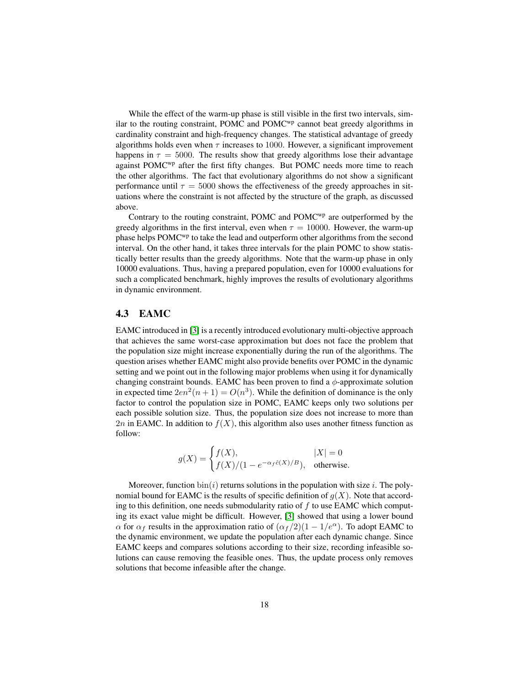While the effect of the warm-up phase is still visible in the first two intervals, similar to the routing constraint, POMC and POMC<sup>wp</sup> cannot beat greedy algorithms in cardinality constraint and high-frequency changes. The statistical advantage of greedy algorithms holds even when  $\tau$  increases to 1000. However, a significant improvement happens in  $\tau = 5000$ . The results show that greedy algorithms lose their advantage against POMC<sup>wp</sup> after the first fifty changes. But POMC needs more time to reach the other algorithms. The fact that evolutionary algorithms do not show a significant performance until  $\tau = 5000$  shows the effectiveness of the greedy approaches in situations where the constraint is not affected by the structure of the graph, as discussed above.

Contrary to the routing constraint, POMC and  $POMC^{wp}$  are outperformed by the greedy algorithms in the first interval, even when  $\tau = 10000$ . However, the warm-up phase helps POMC<sup>wp</sup> to take the lead and outperform other algorithms from the second interval. On the other hand, it takes three intervals for the plain POMC to show statistically better results than the greedy algorithms. Note that the warm-up phase in only 10000 evaluations. Thus, having a prepared population, even for 10000 evaluations for such a complicated benchmark, highly improves the results of evolutionary algorithms in dynamic environment.

### 4.3 EAMC

EAMC introduced in [\[3\]](#page-25-1) is a recently introduced evolutionary multi-objective approach that achieves the same worst-case approximation but does not face the problem that the population size might increase exponentially during the run of the algorithms. The question arises whether EAMC might also provide benefits over POMC in the dynamic setting and we point out in the following major problems when using it for dynamically changing constraint bounds. EAMC has been proven to find a  $\phi$ -approximate solution in expected time  $2en^2(n+1) = O(n^3)$ . While the definition of dominance is the only factor to control the population size in POMC, EAMC keeps only two solutions per each possible solution size. Thus, the population size does not increase to more than 2n in EAMC. In addition to  $f(X)$ , this algorithm also uses another fitness function as follow:

$$
g(X) = \begin{cases} f(X), & |X| = 0\\ f(X)/(1 - e^{-\alpha_f \hat{c}(X)/B}), & \text{otherwise.} \end{cases}
$$

Moreover, function  $\text{bin}(i)$  returns solutions in the population with size i. The polynomial bound for EAMC is the results of specific definition of  $g(X)$ . Note that according to this definition, one needs submodularity ratio of  $f$  to use EAMC which computing its exact value might be difficult. However, [\[3\]](#page-25-1) showed that using a lower bound  $\alpha$  for  $\alpha_f$  results in the approximation ratio of  $(\alpha_f/2)(1 - 1/e^{\alpha})$ . To adopt EAMC to the dynamic environment, we update the population after each dynamic change. Since EAMC keeps and compares solutions according to their size, recording infeasible solutions can cause removing the feasible ones. Thus, the update process only removes solutions that become infeasible after the change.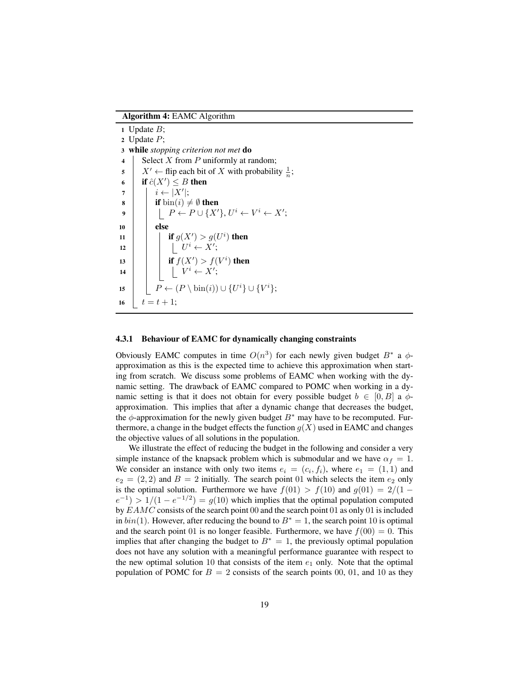Algorithm 4: EAMC Algorithm

|                         | 1 Update $B$ ;                                                                                              |  |  |  |  |  |  |  |  |  |
|-------------------------|-------------------------------------------------------------------------------------------------------------|--|--|--|--|--|--|--|--|--|
|                         | 2 Update $P$ ;                                                                                              |  |  |  |  |  |  |  |  |  |
|                         | 3 while stopping criterion not met do                                                                       |  |  |  |  |  |  |  |  |  |
| $\overline{\mathbf{4}}$ | Select X from $P$ uniformly at random;                                                                      |  |  |  |  |  |  |  |  |  |
| 5                       | $X' \leftarrow$ flip each bit of X with probability $\frac{1}{n}$ ;                                         |  |  |  |  |  |  |  |  |  |
| 6                       | if $\hat{c}(X') \leq B$ then                                                                                |  |  |  |  |  |  |  |  |  |
| 7                       | $i \leftarrow  X' ;$                                                                                        |  |  |  |  |  |  |  |  |  |
| 8                       | <b>if</b> $bin(i) \neq \emptyset$ then                                                                      |  |  |  |  |  |  |  |  |  |
| 9                       | $\left[ \begin{array}{c} P \leftarrow P \cup \{X'\}, U^i \leftarrow V^i \leftarrow X'; \end{array} \right]$ |  |  |  |  |  |  |  |  |  |
| 10                      | else                                                                                                        |  |  |  |  |  |  |  |  |  |
| 11                      | if $g(X') > g(U^i)$ then                                                                                    |  |  |  |  |  |  |  |  |  |
| 12                      | $ U^i \leftarrow X';$                                                                                       |  |  |  |  |  |  |  |  |  |
| 13                      | <b>if</b> $f(X') > f(V^i)$ then                                                                             |  |  |  |  |  |  |  |  |  |
| 14                      | $ V^i \leftarrow X';$                                                                                       |  |  |  |  |  |  |  |  |  |
| 15                      | $P \leftarrow (P \setminus \text{bin}(i)) \cup \{U^i\} \cup \{V^i\};$                                       |  |  |  |  |  |  |  |  |  |
| 16                      | $t = t + 1$ ;                                                                                               |  |  |  |  |  |  |  |  |  |

#### 4.3.1 Behaviour of EAMC for dynamically changing constraints

Obviously EAMC computes in time  $O(n^3)$  for each newly given budget  $B^*$  a  $\phi$ approximation as this is the expected time to achieve this approximation when starting from scratch. We discuss some problems of EAMC when working with the dynamic setting. The drawback of EAMC compared to POMC when working in a dynamic setting is that it does not obtain for every possible budget  $b \in [0, B]$  a  $\phi$ approximation. This implies that after a dynamic change that decreases the budget, the φ-approximation for the newly given budget  $B^*$  may have to be recomputed. Furthermore, a change in the budget effects the function  $g(X)$  used in EAMC and changes the objective values of all solutions in the population.

We illustrate the effect of reducing the budget in the following and consider a very simple instance of the knapsack problem which is submodular and we have  $\alpha_f = 1$ . We consider an instance with only two items  $e_i = (c_i, f_i)$ , where  $e_1 = (1, 1)$  and  $e_2 = (2, 2)$  and  $B = 2$  initially. The search point 01 which selects the item  $e_2$  only is the optimal solution. Furthermore we have  $f(01) > f(10)$  and  $g(01) = 2/(1 (e^{-1})$  > 1/(1 –  $e^{-1/2}$ ) =  $g(10)$  which implies that the optimal population computed by EAMC consists of the search point 00 and the search point 01 as only 01 is included in  $bin(1)$ . However, after reducing the bound to  $B^* = 1$ , the search point 10 is optimal and the search point 01 is no longer feasible. Furthermore, we have  $f(00) = 0$ . This implies that after changing the budget to  $B^* = 1$ , the previously optimal population does not have any solution with a meaningful performance guarantee with respect to the new optimal solution 10 that consists of the item  $e_1$  only. Note that the optimal population of POMC for  $B = 2$  consists of the search points 00, 01, and 10 as they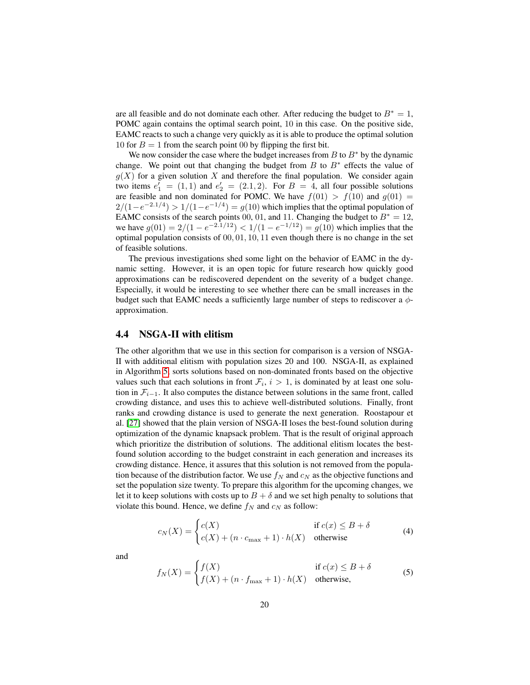are all feasible and do not dominate each other. After reducing the budget to  $B^* = 1$ , POMC again contains the optimal search point, 10 in this case. On the positive side, EAMC reacts to such a change very quickly as it is able to produce the optimal solution 10 for  $B = 1$  from the search point 00 by flipping the first bit.

We now consider the case where the budget increases from  $B$  to  $B^*$  by the dynamic change. We point out that changing the budget from  $B$  to  $B^*$  effects the value of  $g(X)$  for a given solution X and therefore the final population. We consider again two items  $e'_1 = (1, 1)$  and  $e'_2 = (2.1, 2)$ . For  $B = 4$ , all four possible solutions are feasible and non dominated for POMC. We have  $f(01) > f(10)$  and  $g(01) =$  $2/(1-e^{-2.1/4}) > 1/(1-e^{-1/4}) = g(10)$  which implies that the optimal population of EAMC consists of the search points 00, 01, and 11. Changing the budget to  $B^* = 12$ , we have  $g(01) = 2/(1 - e^{-2.1/12}) < 1/(1 - e^{-1/12}) = g(10)$  which implies that the optimal population consists of 00, 01, 10, 11 even though there is no change in the set of feasible solutions.

The previous investigations shed some light on the behavior of EAMC in the dynamic setting. However, it is an open topic for future research how quickly good approximations can be rediscovered dependent on the severity of a budget change. Especially, it would be interesting to see whether there can be small increases in the budget such that EAMC needs a sufficiently large number of steps to rediscover a  $\phi$ approximation.

#### 4.4 NSGA-II with elitism

The other algorithm that we use in this section for comparison is a version of NSGA-II with additional elitism with population sizes 20 and 100. NSGA-II, as explained in Algorithm [5,](#page-20-1) sorts solutions based on non-dominated fronts based on the objective values such that each solutions in front  $\mathcal{F}_i$ ,  $i > 1$ , is dominated by at least one solution in  $\mathcal{F}_{i-1}$ . It also computes the distance between solutions in the same front, called crowding distance, and uses this to achieve well-distributed solutions. Finally, front ranks and crowding distance is used to generate the next generation. Roostapour et al. [\[27\]](#page-27-4) showed that the plain version of NSGA-II loses the best-found solution during optimization of the dynamic knapsack problem. That is the result of original approach which prioritize the distribution of solutions. The additional elitism locates the bestfound solution according to the budget constraint in each generation and increases its crowding distance. Hence, it assures that this solution is not removed from the population because of the distribution factor. We use  $f_N$  and  $c_N$  as the objective functions and set the population size twenty. To prepare this algorithm for the upcoming changes, we let it to keep solutions with costs up to  $B + \delta$  and we set high penalty to solutions that violate this bound. Hence, we define  $f_N$  and  $c_N$  as follow:

$$
c_N(X) = \begin{cases} c(X) & \text{if } c(x) \le B + \delta \\ c(X) + (n \cdot c_{\max} + 1) \cdot h(X) & \text{otherwise} \end{cases}
$$
(4)

and

$$
f_N(X) = \begin{cases} f(X) & \text{if } c(x) \le B + \delta \\ f(X) + (n \cdot f_{\text{max}} + 1) \cdot h(X) & \text{otherwise,} \end{cases}
$$
(5)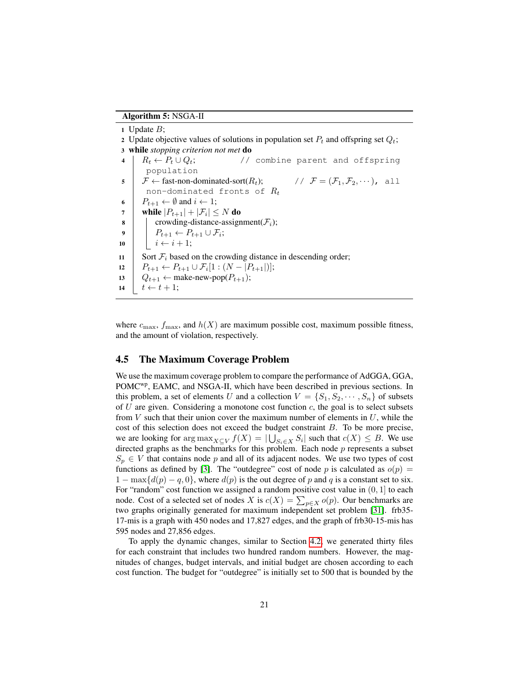Algorithm 5: NSGA-II

1 Update  $B$ ; 2 Update objective values of solutions in population set  $P_t$  and offspring set  $Q_t$ ; <sup>3</sup> while *stopping criterion not met* do 4  $R_t \leftarrow P_t \cup Q_t;$  // combine parent and offspring population  $5 \mid \mathcal{F} \leftarrow$  fast-non-dominated-sort $(R_t); \qquad // \mathcal{F} = (\mathcal{F}_1, \mathcal{F}_2, \cdots), \text{ all }$ non-dominated fronts of  $R_t$ 6  $P_{t+1} \leftarrow \emptyset$  and  $i \leftarrow 1$ ;  $\begin{array}{|c|c|} \hline \textbf{7} & \textbf{while} & P_{t+1}|+|\mathcal{F}_i| \leq N \textbf{\ do} \ \hline \end{array}$ 8 crowding-distance-assignment( $\mathcal{F}_i$ ); 9  $\parallel$   $P_{t+1} \leftarrow P_{t+1} \cup \mathcal{F}_i;$ 10  $i \leftarrow i + 1;$ 11 Sort  $\mathcal{F}_i$  based on the crowding distance in descending order; 12  $\left| P_{t+1} \leftarrow P_{t+1} \cup \mathcal{F}_i[1:(N-|P_{t+1}|)];$ 13  $Q_{t+1} \leftarrow \text{make-new-pop}(P_{t+1});$ 14  $\vert t \leftarrow t + 1;$ 

<span id="page-20-1"></span>where  $c_{\text{max}}$ ,  $f_{\text{max}}$ , and  $h(X)$  are maximum possible cost, maximum possible fitness, and the amount of violation, respectively.

### <span id="page-20-0"></span>4.5 The Maximum Coverage Problem

We use the maximum coverage problem to compare the performance of AdGGA, GGA, POMCwp, EAMC, and NSGA-II, which have been described in previous sections. In this problem, a set of elements U and a collection  $V = \{S_1, S_2, \dots, S_n\}$  of subsets of  $U$  are given. Considering a monotone cost function  $c$ , the goal is to select subsets from  $V$  such that their union cover the maximum number of elements in  $U$ , while the cost of this selection does not exceed the budget constraint B. To be more precise, we are looking for  $\arg \max_{X \subseteq V} f(X) = |\bigcup_{S_i \in X} S_i|$  such that  $c(X) \leq B$ . We use directed graphs as the benchmarks for this problem. Each node  $p$  represents a subset  $S_p \in V$  that contains node p and all of its adjacent nodes. We use two types of cost functions as defined by [\[3\]](#page-25-1). The "outdegree" cost of node p is calculated as  $o(p)$  =  $1 - \max\{d(p) - q, 0\}$ , where  $d(p)$  is the out degree of p and q is a constant set to six. For "random" cost function we assigned a random positive cost value in  $(0, 1]$  to each node. Cost of a selected set of nodes X is  $c(X) = \sum_{p \in X} o(p)$ . Our benchmarks are two graphs originally generated for maximum independent set problem [\[31\]](#page-28-3). frb35- 17-mis is a graph with 450 nodes and 17,827 edges, and the graph of frb30-15-mis has 595 nodes and 27,856 edges.

To apply the dynamic changes, similar to Section [4.2,](#page-14-0) we generated thirty files for each constraint that includes two hundred random numbers. However, the magnitudes of changes, budget intervals, and initial budget are chosen according to each cost function. The budget for "outdegree" is initially set to 500 that is bounded by the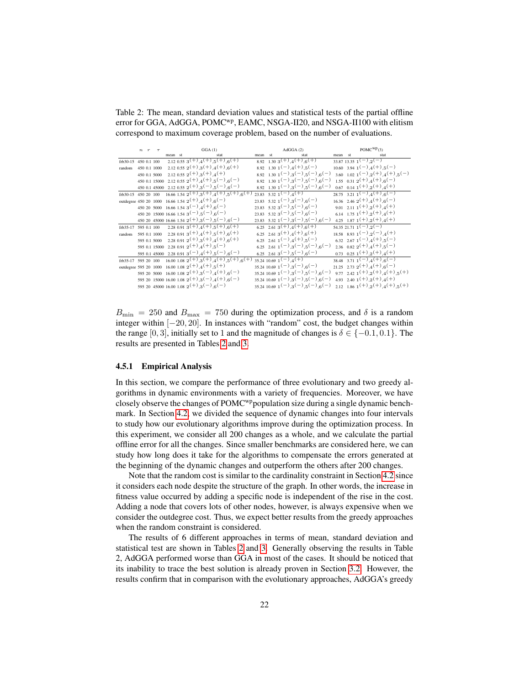<span id="page-21-0"></span>Table 2: The mean, standard deviation values and statistical tests of the partial offline error for GGA, AdGGA, POMC<sup>wp</sup>, EAMC, NSGA-II20, and NSGA-II100 with elitism correspond to maximum coverage problem, based on the number of evaluations.

|                      |  | $n r \tau$ | GGA(1)  |  |                                                                                                                                |      |    | AdGGA(2)                                                                         | $POMC^{WP}(3)$ |                                                                                  |  |
|----------------------|--|------------|---------|--|--------------------------------------------------------------------------------------------------------------------------------|------|----|----------------------------------------------------------------------------------|----------------|----------------------------------------------------------------------------------|--|
|                      |  |            | mean st |  | stat                                                                                                                           | mean | st | stat                                                                             | mean st        | stat                                                                             |  |
| frb30-15 450 0.1 100 |  |            |         |  | 2.12 0.55 3 <sup>(+)</sup> ,4 <sup>(+)</sup> ,5 <sup>(+)</sup> ,6 <sup>(+)</sup>                                               |      |    | $8.92 \quad 1.30 \quad 3^{(+)4^{(+)6^{(+)}}$                                     |                | $33.87$ 13.35 $1(-)$ $2(-)$                                                      |  |
| random 450 0.1 1000  |  |            |         |  | $2.12\;0.55\;2^{(+)},3^{(+)},4^{(+)},6^{(+)}$                                                                                  |      |    | $8.92 \quad 1.30 \quad 1(-) \quad 4(+) \quad 5(-)$                               |                | $10.60$ 3.94 1 <sup>(-)</sup> , 4 <sup>(+)</sup> , 5 <sup>(-)</sup>              |  |
|                      |  |            |         |  | 450 0.1 5000 2.12 0.55 $2^{(+)}$ , $3^{(+)}$ , $4^{(+)}$                                                                       |      |    | $_{8.92 \quad 1.30 \quad 1}(-)_{.3}(-)_{.5}(-)_{.6}(-)$                          |                | 3.60 1.02 1 <sup>(-)</sup> ,2 <sup>(+)</sup> ,4 <sup>(+)</sup> ,5 <sup>(-)</sup> |  |
|                      |  |            |         |  | 450 0.1 15000 2.12 0.55 $2^{(+)}$ , $4^{(+)}$ , $5^{(-)}$ , $6^{(-)}$                                                          |      |    | $_{8.92 \quad 1.30 \quad 1}(-)_{.3}(-)_{.5}(-)_{.6}(-)$                          |                | $1.55$ 0.31 2 <sup>(+)</sup> ,4 <sup>(+)</sup> ,6 <sup>(-)</sup>                 |  |
|                      |  |            |         |  | 450 0.1 45000 2.12 0.55 $2^{(+)}$ , $3^{(-)}$ , $5^{(-)}$ , $6^{(-)}$                                                          |      |    | $_{8.92 \quad 1.30 \quad 1}(-)_{.3}(-)_{.5}(-)_{.6}(-)$                          |                | $0.67$ $0.14$ $1(+)$ , $2(+)$ , $4(+)$                                           |  |
|                      |  |            |         |  | frb30-15 450 20 100 16.66 1.54 $\overline{2^{(+)}$ , 3 <sup>(+)</sup> , 4 <sup>(+)</sup> , 5 <sup>(+)</sup> , 6 <sup>(+)</sup> |      |    | 23.83 5.32 $1(-)$ , $\overline{4(+)}$                                            |                | 28.75 3.21 $\overline{1(-), 4(+), 6(-)}$                                         |  |
|                      |  |            |         |  | outdegree 450 20 1000 16.66 1.54 $2(+)$ , $4(+)$ , $6(-)$                                                                      |      |    | $23.83$ $5.32$ $1(-)$ $3(-)$ $6(-)$                                              |                | $16.36$ $2.46$ $2(+)$ , $4(+)$ , $6(-)$                                          |  |
|                      |  |            |         |  | 450    20    5000    16.66    1.54    3    ( $-$ ) $_{{\mathcal A}}(+)$ $_{{\mathfrak H}}(-)$                                  |      |    | $23.83$ $5.32$ $3(-)$ , $5(-)$ , $6(-)$                                          |                | 9.01 2.11 1 <sup>(+)</sup> ,2 <sup>(+)</sup> ,4 <sup>(+)</sup>                   |  |
|                      |  |            |         |  | 450 20 15000 16.66 1.54 3(-),5(-),6(-)                                                                                         |      |    | $23.83$ $5.32$ $3(-)$ , $5(-)$ , $6(-)$                                          |                | 6.14 1.75 $1(+)$ , $2(+)$ , $4(+)$                                               |  |
|                      |  |            |         |  | $_{450$ 20–45000 16.66 1.54 $\rm 2(^{+})$ ,<br>3( $-$ ) $\rm _{,5}(-)$ $\rm _{,6}(-)$                                          |      |    | $23.83$ $5.32$ $1(-)$ $3(-)$ $5(-)$ $6(-)$                                       |                | 4.25 1.87 1 <sup>(+)</sup> ,2 <sup>(+)</sup> ,4 <sup>(+)</sup>                   |  |
|                      |  |            |         |  | frb35-17 595 0.1 100 2.28 $\overline{0.91\,3^{(+)},4^{(+)},5^{(+)},6^{(+)}}$                                                   |      |    | $6.25$ 2.61 3 <sup>(+)</sup> , 4 <sup>(+)</sup> , 6 <sup>(+)</sup>               |                | $\frac{1}{24.35 \cdot 21.71 \cdot 1}(-)$ , 2(-)                                  |  |
| random               |  |            |         |  | 595 0.1 1000 2.28 0.91 3(+), $4$ (+), $5$ (+), $6$ (+)                                                                         |      |    | 6.25 2.61 3 <sup>(+)</sup> ,4 <sup>(+)</sup> ,6 <sup>(+)</sup>                   |                | $18.58$ $8.93$ $1(-)$ , $2(-)$ , $4(+)$                                          |  |
|                      |  |            |         |  | 595 0.1 5000 2.28 0.91 $2^{(+)}$ , $3^{(+)}$ , $4^{(+)}$ , $6^{(+)}$                                                           |      |    | 6.25 2.61 1 <sup>(-)</sup> , 4 <sup>(+)</sup> , 5 <sup>(-)</sup>                 |                | 6.32 2.67 $1(-)$ , $4(+)$ , $5(-)$                                               |  |
|                      |  |            |         |  | 595 0.1 15000 2.28 0.91 $2^{(+)}$ , $4^{(+)}$ , $5^{(-)}$                                                                      |      |    | 6.25 2.61 1 <sup>(-)</sup> ,3 <sup>(-)</sup> ,5 <sup>(-)</sup> ,6 <sup>(-)</sup> |                | 2.36 0.82 $2^{(+)}$ , 4 <sup>(+)</sup> , 5 <sup>(-)</sup>                        |  |
|                      |  |            |         |  | 595 0.1 45000 2.28 0.91 3(-), $4(+)$ , $5(-)$ , $6(-)$                                                                         |      |    | 6.25 2.61 3 <sup>(-)</sup> ,5 <sup>(-)</sup> ,6 <sup>(-)</sup>                   |                | 0.73 0.25 $1^{(+)}$ , $2^{(+)}$ , $4^{(+)}$                                      |  |
|                      |  |            |         |  | frb35-17 595 20 100 16.00 1.08 $\frac{2(+)}{2(+)}$ 3 <sup>(+)</sup> 4 <sup>(+)</sup> 5 <sup>(+)</sup> 6 <sup>(+)</sup>         |      |    | $35.2410.691(-)4(+)$                                                             |                | 38.48 3.71 $1(-)$ , $4(+)$ , $6(-)$                                              |  |
|                      |  |            |         |  | outdegree 595 20 1000 16.00 1.08 $2(+)$ , $4(+)$ , $5(+)$                                                                      |      |    | $35.2410.691(-)3(-)6(-)$                                                         |                | 21.25 2.73 2(+), $4(+)$ , $6(-)$                                                 |  |
|                      |  |            |         |  | 595  20  5000  16.00  1.08  2(+),3(-),4(+),6(-)                                                                                |      |    | $35.2410.691(-)3(-)5(-)6(-)$                                                     |                | 9.77 2.42 1 <sup>(+)</sup> 2 <sup>(+)</sup> 4 <sup>(+)</sup> 5 <sup>(+)</sup>    |  |
|                      |  |            |         |  | 595 20 15000 16.00 1.08 $2^{(+)}$ , $3^{(-)}$ , $4^{(+)}$ , $6^{(-)}$                                                          |      |    | $35.2410.691(-)3(-)5(-)6(-)$                                                     |                | 4.93 2.40 1 <sup>(+)</sup> , 2 <sup>(+)</sup> , 4 <sup>(+)</sup>                 |  |
|                      |  |            |         |  | 595 20 45000 16.00 1.08 $2^{\left(+\right)}, 3^{\left(-\right)}, 6^{\left(-\right)}$                                           |      |    | $35.2410.691(-)3(-)3(-)3(-)6(-)$                                                 |                | 2.12 1.86 1 <sup>(+)</sup> 2 <sup>(+)</sup> 4 <sup>(+)</sup> 5 <sup>(+)</sup>    |  |

 $B_{\text{min}} = 250$  and  $B_{\text{max}} = 750$  during the optimization process, and  $\delta$  is a random integer within [−20, 20]. In instances with "random" cost, the budget changes within the range [0, 3], initially set to 1 and the magnitude of changes is  $\delta \in \{-0.1, 0.1\}$ . The results are presented in Tables [2](#page-21-0) and [3.](#page-22-0)

#### 4.5.1 Empirical Analysis

In this section, we compare the performance of three evolutionary and two greedy algorithms in dynamic environments with a variety of frequencies. Moreover, we have closely observe the changes of POMC<sup>wp</sup>population size during a single dynamic benchmark. In Section [4.2,](#page-14-0) we divided the sequence of dynamic changes into four intervals to study how our evolutionary algorithms improve during the optimization process. In this experiment, we consider all 200 changes as a whole, and we calculate the partial offline error for all the changes. Since smaller benchmarks are considered here, we can study how long does it take for the algorithms to compensate the errors generated at the beginning of the dynamic changes and outperform the others after 200 changes.

Note that the random cost is similar to the cardinality constraint in Section [4.2](#page-14-0) since it considers each node despite the structure of the graph. In other words, the increase in fitness value occurred by adding a specific node is independent of the rise in the cost. Adding a node that covers lots of other nodes, however, is always expensive when we consider the outdegree cost. Thus, we expect better results from the greedy approaches when the random constraint is considered.

The results of 6 different approaches in terms of mean, standard deviation and statistical test are shown in Tables [2](#page-21-0) and [3.](#page-22-0) Generally observing the results in Table 2, AdGGA performed worse than GGA in most of the cases. It should be noticed that its inability to trace the best solution is already proven in Section [3.2.](#page-7-1) However, the results confirm that in comparison with the evolutionary approaches, AdGGA's greedy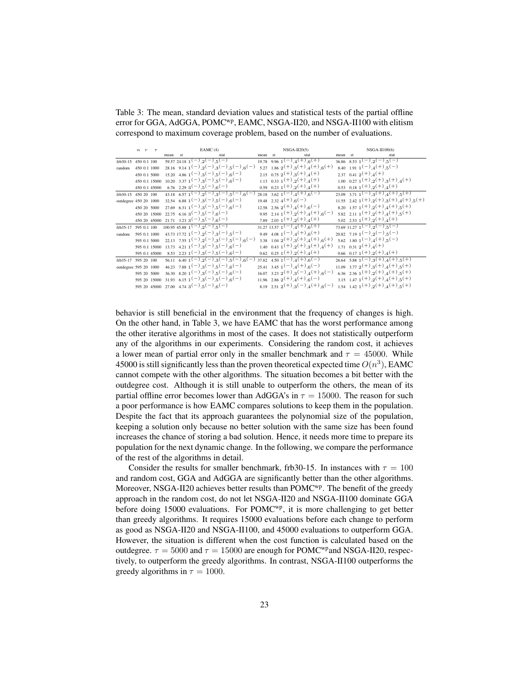<span id="page-22-0"></span>Table 3: The mean, standard deviation values and statistical tests of the partial offline error for GGA, AdGGA, POMC<sup>wp</sup>, EAMC, NSGA-II20, and NSGA-II100 with elitism correspond to maximum coverage problem, based on the number of evaluations.

|                       | n r          |               | EAMC(4) |                                                                |                                                                                                           | $NSGA-H20(5)$ |  |                                                                                  | $NSGA-III100(6)$ |                                                                                                   |  |  |
|-----------------------|--------------|---------------|---------|----------------------------------------------------------------|-----------------------------------------------------------------------------------------------------------|---------------|--|----------------------------------------------------------------------------------|------------------|---------------------------------------------------------------------------------------------------|--|--|
|                       |              |               | mean    | st                                                             | stat                                                                                                      | mean st       |  | stat                                                                             | mean st          | stat                                                                                              |  |  |
| frb30-15 450 0.1 100  |              |               |         | $59.57$ 24.18 $1(-)$ , $2(-)$ , $5(-)$                         |                                                                                                           |               |  | $19.78$ $9.96$ $1(-)$ , $4(+)$ , $6(+)$                                          |                  | 36.86 8.53 $1(-)$ , $2(-)$ , $5(-)$                                                               |  |  |
| random 450 0.1 1000   |              |               |         |                                                                | 28.16 9.14 1(-),2(-),3(-),5(-),6(-)                                                                       |               |  | 5.27 1.86 2(+), 3(+), 4(+), 6(+)                                                 |                  | 8.40 1.91 $1(-)$ , $4(+)$ , $5(-)$                                                                |  |  |
|                       |              | 450 0.1 5000  |         |                                                                | $15.20 \quad 4.86 \quad 1(-)$ , $3(-)$ , $5(-)$ , $6(-)$                                                  |               |  | 2.15 0.75 $2^{(+)}$ , $3^{(+)}$ , $4^{(+)}$                                      |                  | 2.37 0.41 $2^{(+)}$ , 4 <sup>(+)</sup>                                                            |  |  |
|                       |              |               |         |                                                                | 450 0.1 15000 10.20 3.37 1 <sup>(-)</sup> ,3 <sup>(-)</sup> ,5 <sup>(-)</sup> ,6 <sup>(-)</sup> )         |               |  | 1.13 0.33 $1^{(+)}$ , $2^{(+)}$ , $4^{(+)}$                                      |                  | 1.00 0.27 $1^{(+)}$ , 2 <sup>(+)</sup> , 3 <sup>(+)</sup> , 4 <sup>(+)</sup>                      |  |  |
|                       |              | 450 0.1 45000 |         | 6.76 2.29 3 <sup>(-)</sup> ,5 <sup>(-)</sup> ,6 <sup>(-)</sup> |                                                                                                           |               |  | 0.59 0.23 $1^{(+)}$ , $2^{(+)}$ , $4^{(+)}$                                      |                  | 0.53 0.18 $1^{(+)}$ , $2^{(+)}$ , $4^{(+)}$                                                       |  |  |
| frb30-15 450 20 100   |              |               |         |                                                                | 43.18 6.57 $1(-)$ , $2(-)$ , $3(-)$ , $5(-)$ , $6(-)$                                                     |               |  | 28.18 3.62 1 <sup>(-)</sup> , 4 <sup>(+)</sup> , 6 <sup>(-)</sup>                |                  | $23.09$ $3.71$ $1(-)$ $3(+)$ $4(+)$ $5(+)$                                                        |  |  |
| outdegree 450 20 1000 |              |               |         |                                                                | $32.54$ 6.88 1 <sup>(-)</sup> , 3 <sup>(-)</sup> , 5 <sup>(-)</sup> , 6 <sup>(-)</sup>                    |               |  | $19.48$ 2.32 4 <sup>(+)</sup> .6 <sup>(-)</sup>                                  |                  | $11.55$ 2.42 1 <sup>(+)</sup> 2 <sup>(+)</sup> 3 <sup>(+)</sup> 4 <sup>(+)</sup> 5 <sup>(+)</sup> |  |  |
|                       |              | 450 20 5000   |         |                                                                | 27.69 6.31 1 <sup>(-)</sup> ,3 <sup>(-)</sup> ,5 <sup>(-)</sup> ,6 <sup>(-)</sup>                         |               |  | $12.58$ $2.56$ $2^{(+)}$ , $4^{(+)}$ , $6^{(-)}$                                 |                  | 8.20 1.57 $1(+)$ , $2(+)$ , $4(+)$ , $5(+)$                                                       |  |  |
|                       |              |               |         | 450 20 15000 22.75 6.16 3(-),5(-),6(-)                         |                                                                                                           |               |  | 9.95 2.14 1(+), 2(+), 4(+), 6(-)                                                 |                  | 5.82 2.11 1 <sup>(+)</sup> , 2 <sup>(+)</sup> , 4 <sup>(+)</sup> , 5 <sup>(+)</sup>               |  |  |
|                       |              |               |         | 450 20 45000 21.71 3.23 $3(-)$ , $5(-)$ , $6(-)$               |                                                                                                           |               |  | 7.89 2.03 1(+), 2(+), 4(+)                                                       |                  | 5.02 2.53 $1^{(+)}$ , $2^{(+)}$ , $4^{(+)}$                                                       |  |  |
| frb35-17 595 0.1 100  |              |               |         | $100.95$ 45.88 $1(-)$ , $2(-)$ , $5(-)$                        |                                                                                                           |               |  | $31.27$ $13.57$ $1(-)$ , $4(+)$ , $6(+)$                                         |                  | $73.69$ 11.27 $1(-)$ , $2(-)$ , $5(-)$                                                            |  |  |
| random                | 595 0.1 1000 |               |         |                                                                | 43.73 17.72 1 <sup>(-)</sup> , 2 <sup>(-)</sup> , 3 <sup>(-)</sup> , 5 <sup>(-)</sup>                     |               |  | 9.49 4.08 1 <sup>(-)</sup> , 4 <sup>(+)</sup> , 6 <sup>(+)</sup>                 |                  | $20.82$ 7.19 1 <sup>(-)</sup> , 2 <sup>(-)</sup> , 5 <sup>(-)</sup>                               |  |  |
|                       |              | 595 0.1 5000  |         |                                                                | $22.13$ 7.55 1 <sup>(-)</sup> , 2 <sup>(-)</sup> , 3 <sup>(-)</sup> , 5 <sup>(-)</sup> , 6 <sup>(-)</sup> |               |  | 3.38 1.04 2 <sup>(+)</sup> 3 <sup>(+)</sup> 4 <sup>(+)</sup> 6 <sup>(+)</sup>    |                  | $5.62 \t1.80 \t1^{-(-)} \t4^{(+)} \t.5^{(-)}$                                                     |  |  |
|                       |              |               |         |                                                                | 595 0.1 15000 13.73 4.21 1 <sup>(-)</sup> ,3 <sup>(-)</sup> ,5 <sup>(-)</sup> ,6 <sup>(-)</sup> )         |               |  | 1.40 0.43 $1^{(+)}$ $2^{(+)}$ $3^{(+)}$ $4^{(+)}$                                |                  | 1.71 0.31 $2^{(+)}$ , 4 <sup>(+)</sup>                                                            |  |  |
|                       |              |               |         |                                                                | 595 0.1 45000 8.53 2.23 1 <sup>(-)</sup> ,3 <sup>(-)</sup> ,5 <sup>(-)</sup> ,6 <sup>(-)</sup>            |               |  | $0.62 \quad 0.25 \quad 1(+) \quad 2(+) \quad 4(+)$                               |                  | $0.66$ $0.17$ $1(+)$ , $2(+)$ , $4(+)$                                                            |  |  |
| frb35-17 595 20 100   |              |               |         |                                                                | $56.11 \quad 6.40 \quad 1^{-1} \quad 2^{-1} \quad 3^{-1} \quad 5^{-1} \quad 6^{-1}$                       |               |  | $37.82 \quad 4.50 \quad 1(-) \quad 4(+) \quad 6(-)$                              |                  | $26.64$ 5.88 1 <sup>(-)</sup> , 3 <sup>(+)</sup> , 4 <sup>(+)</sup> , 5 <sup>(+)</sup>            |  |  |
| outdegree 595 20 1000 |              |               |         |                                                                | 46.23 7.88 $1(-)$ , $3(-)$ , $5(-)$ , $6(-)$                                                              |               |  | $25.41$ 3.45 1 <sup>(-)</sup> , 4 <sup>(+)</sup> , 6 <sup>(-)</sup>              |                  | $11.09$ 3.77 2 <sup>(+)</sup> , 3 <sup>(+)</sup> , 4 <sup>(+)</sup> , 5 <sup>(+)</sup>            |  |  |
|                       |              | 595 20 5000   |         |                                                                | $36.30 \quad 8.20 \quad 1(-)$ , $3(-)$ , $5(-)$ , $6(-)$                                                  |               |  | $16.07$ 3.23 2 <sup>(+)</sup> 3 <sup>(-)</sup> 4 <sup>(+)</sup> 6 <sup>(-)</sup> |                  | 6.36 2.36 1(+), 2(+), 4(+), 5(+)                                                                  |  |  |
|                       |              |               |         |                                                                | 595 20 15000 31.93 6.15 1 <sup>(-)</sup> ,3 <sup>(-)</sup> ,5 <sup>(-)</sup> ,6 <sup>(-)</sup>            |               |  | $11.96$ $2.86$ $2^{(+)}$ , $4^{(+)}$ , $6^{(-)}$                                 |                  | 3.15 1.47 $1(+)$ , $2(+)$ , $4(+)$ , $5(+)$                                                       |  |  |
|                       |              |               |         | 595 20 45000 27.00 4.74 3(-),5(-),6(-)                         |                                                                                                           |               |  | 8.19 2.51 2(+), 3(-), 4(+), 6(-)                                                 |                  | 1.54 1.42 $1(+)$ , $2(+)$ , $4(+)$ , $5(+)$                                                       |  |  |
|                       |              |               |         |                                                                |                                                                                                           |               |  |                                                                                  |                  |                                                                                                   |  |  |

behavior is still beneficial in the environment that the frequency of changes is high. On the other hand, in Table 3, we have EAMC that has the worst performance among the other iterative algorithms in most of the cases. It does not statistically outperform any of the algorithms in our experiments. Considering the random cost, it achieves a lower mean of partial error only in the smaller benchmark and  $\tau = 45000$ . While 45000 is still significantly less than the proven theoretical expected time  $O(n^3)$ , EAMC cannot compete with the other algorithms. The situation becomes a bit better with the outdegree cost. Although it is still unable to outperform the others, the mean of its partial offline error becomes lower than AdGGA's in  $\tau = 15000$ . The reason for such a poor performance is how EAMC compares solutions to keep them in the population. Despite the fact that its approach guarantees the polynomial size of the population, keeping a solution only because no better solution with the same size has been found increases the chance of storing a bad solution. Hence, it needs more time to prepare its population for the next dynamic change. In the following, we compare the performance of the rest of the algorithms in detail.

Consider the results for smaller benchmark, frb30-15. In instances with  $\tau = 100$ and random cost, GGA and AdGGA are significantly better than the other algorithms. Moreover, NSGA-II20 achieves better results than  $POMC^{wp}$ . The benefit of the greedy approach in the random cost, do not let NSGA-II20 and NSGA-II100 dominate GGA before doing 15000 evaluations. For POMC<sup>wp</sup>, it is more challenging to get better than greedy algorithms. It requires 15000 evaluations before each change to perform as good as NSGA-II20 and NSGA-II100, and 45000 evaluations to outperform GGA. However, the situation is different when the cost function is calculated based on the outdegree.  $\tau = 5000$  and  $\tau = 15000$  are enough for POMC<sup>wp</sup>and NSGA-II20, respectively, to outperform the greedy algorithms. In contrast, NSGA-II100 outperforms the greedy algorithms in  $\tau = 1000$ .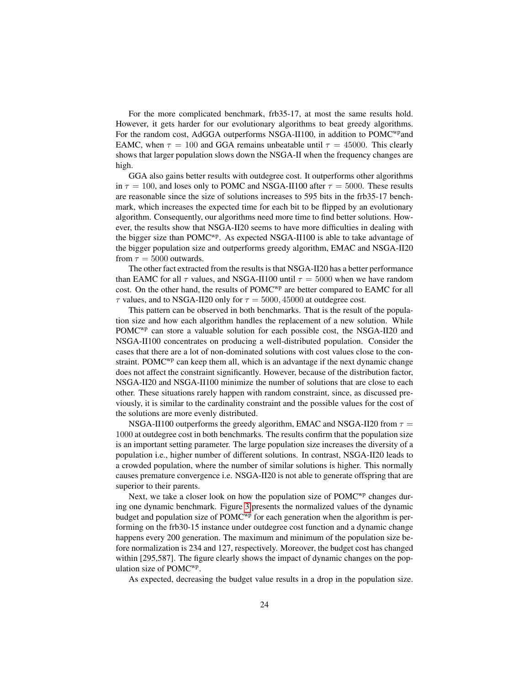For the more complicated benchmark, frb35-17, at most the same results hold. However, it gets harder for our evolutionary algorithms to beat greedy algorithms. For the random cost, AdGGA outperforms NSGA-II100, in addition to POMC<sup>wp</sup>and EAMC, when  $\tau = 100$  and GGA remains unbeatable until  $\tau = 45000$ . This clearly shows that larger population slows down the NSGA-II when the frequency changes are high.

GGA also gains better results with outdegree cost. It outperforms other algorithms in  $\tau = 100$ , and loses only to POMC and NSGA-II100 after  $\tau = 5000$ . These results are reasonable since the size of solutions increases to 595 bits in the frb35-17 benchmark, which increases the expected time for each bit to be flipped by an evolutionary algorithm. Consequently, our algorithms need more time to find better solutions. However, the results show that NSGA-II20 seems to have more difficulties in dealing with the bigger size than POMC<sup>wp</sup>. As expected NSGA-II100 is able to take advantage of the bigger population size and outperforms greedy algorithm, EMAC and NSGA-II20 from  $\tau = 5000$  outwards.

The other fact extracted from the results is that NSGA-II20 has a better performance than EAMC for all  $\tau$  values, and NSGA-II100 until  $\tau = 5000$  when we have random cost. On the other hand, the results of POMC<sup>wp</sup> are better compared to EAMC for all  $\tau$  values, and to NSGA-II20 only for  $\tau = 5000, 45000$  at outdegree cost.

This pattern can be observed in both benchmarks. That is the result of the population size and how each algorithm handles the replacement of a new solution. While  $POMC^{wp}$  can store a valuable solution for each possible cost, the NSGA-II20 and NSGA-II100 concentrates on producing a well-distributed population. Consider the cases that there are a lot of non-dominated solutions with cost values close to the constraint. POMC<sup>wp</sup> can keep them all, which is an advantage if the next dynamic change does not affect the constraint significantly. However, because of the distribution factor, NSGA-II20 and NSGA-II100 minimize the number of solutions that are close to each other. These situations rarely happen with random constraint, since, as discussed previously, it is similar to the cardinality constraint and the possible values for the cost of the solutions are more evenly distributed.

NSGA-II100 outperforms the greedy algorithm, EMAC and NSGA-II20 from  $\tau =$ 1000 at outdegree cost in both benchmarks. The results confirm that the population size is an important setting parameter. The large population size increases the diversity of a population i.e., higher number of different solutions. In contrast, NSGA-II20 leads to a crowded population, where the number of similar solutions is higher. This normally causes premature convergence i.e. NSGA-II20 is not able to generate offspring that are superior to their parents.

Next, we take a closer look on how the population size of  $POMC^{wp}$  changes during one dynamic benchmark. Figure [3](#page-24-0) presents the normalized values of the dynamic budget and population size of  $POMC^{wp}$  for each generation when the algorithm is performing on the frb30-15 instance under outdegree cost function and a dynamic change happens every 200 generation. The maximum and minimum of the population size before normalization is 234 and 127, respectively. Moreover, the budget cost has changed within [295,587]. The figure clearly shows the impact of dynamic changes on the population size of POMC<sup>wp</sup>.

As expected, decreasing the budget value results in a drop in the population size.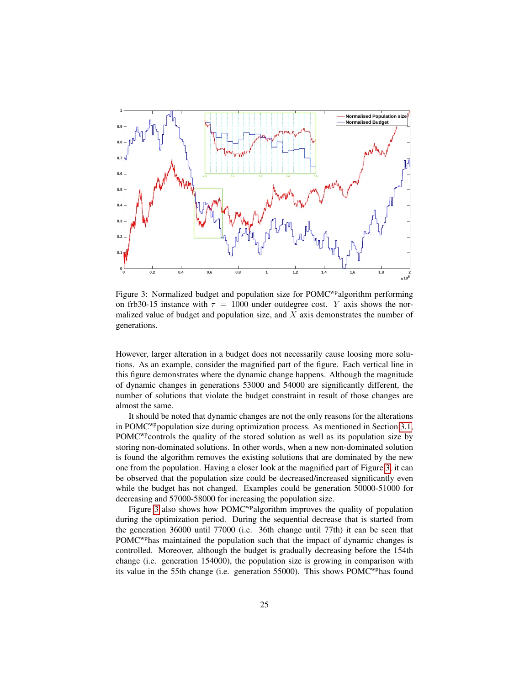<span id="page-24-0"></span>

Figure 3: Normalized budget and population size for POMC<sup>wp</sup>algorithm performing on frb30-15 instance with  $\tau = 1000$  under outdegree cost. Y axis shows the normalized value of budget and population size, and  $X$  axis demonstrates the number of generations.

However, larger alteration in a budget does not necessarily cause loosing more solutions. As an example, consider the magnified part of the figure. Each vertical line in this figure demonstrates where the dynamic change happens. Although the magnitude of dynamic changes in generations 53000 and 54000 are significantly different, the number of solutions that violate the budget constraint in result of those changes are almost the same.

It should be noted that dynamic changes are not the only reasons for the alterations in POMC<sup>wp</sup>population size during optimization process. As mentioned in Section [3.1,](#page-5-3) POMC<sup>wp</sup>controls the quality of the stored solution as well as its population size by storing non-dominated solutions. In other words, when a new non-dominated solution is found the algorithm removes the existing solutions that are dominated by the new one from the population. Having a closer look at the magnified part of Figure [3,](#page-24-0) it can be observed that the population size could be decreased/increased significantly even while the budget has not changed. Examples could be generation 50000-51000 for decreasing and 57000-58000 for increasing the population size.

Figure [3](#page-24-0) also shows how  $POMC^{wp}$  algorithm improves the quality of population during the optimization period. During the sequential decrease that is started from the generation 36000 until 77000 (i.e. 36th change until 77th) it can be seen that POMCwphas maintained the population such that the impact of dynamic changes is controlled. Moreover, although the budget is gradually decreasing before the 154th change (i.e. generation 154000), the population size is growing in comparison with its value in the 55th change (i.e. generation 55000). This shows POMC<sup>wp</sup>has found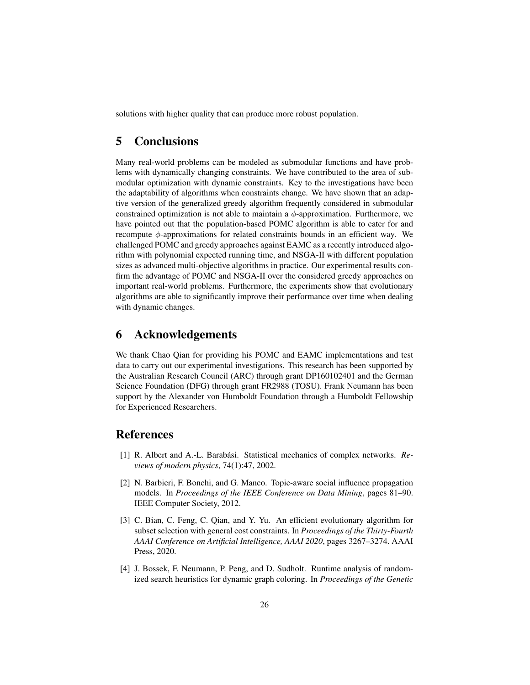solutions with higher quality that can produce more robust population.

### 5 Conclusions

Many real-world problems can be modeled as submodular functions and have problems with dynamically changing constraints. We have contributed to the area of submodular optimization with dynamic constraints. Key to the investigations have been the adaptability of algorithms when constraints change. We have shown that an adaptive version of the generalized greedy algorithm frequently considered in submodular constrained optimization is not able to maintain a  $\phi$ -approximation. Furthermore, we have pointed out that the population-based POMC algorithm is able to cater for and recompute  $\phi$ -approximations for related constraints bounds in an efficient way. We challenged POMC and greedy approaches against EAMC as a recently introduced algorithm with polynomial expected running time, and NSGA-II with different population sizes as advanced multi-objective algorithms in practice. Our experimental results confirm the advantage of POMC and NSGA-II over the considered greedy approaches on important real-world problems. Furthermore, the experiments show that evolutionary algorithms are able to significantly improve their performance over time when dealing with dynamic changes.

### 6 Acknowledgements

We thank Chao Qian for providing his POMC and EAMC implementations and test data to carry out our experimental investigations. This research has been supported by the Australian Research Council (ARC) through grant DP160102401 and the German Science Foundation (DFG) through grant FR2988 (TOSU). Frank Neumann has been support by the Alexander von Humboldt Foundation through a Humboldt Fellowship for Experienced Researchers.

### References

- <span id="page-25-2"></span>[1] R. Albert and A.-L. Barabási. Statistical mechanics of complex networks. Re*views of modern physics*, 74(1):47, 2002.
- <span id="page-25-3"></span>[2] N. Barbieri, F. Bonchi, and G. Manco. Topic-aware social influence propagation models. In *Proceedings of the IEEE Conference on Data Mining*, pages 81–90. IEEE Computer Society, 2012.
- <span id="page-25-1"></span>[3] C. Bian, C. Feng, C. Qian, and Y. Yu. An efficient evolutionary algorithm for subset selection with general cost constraints. In *Proceedings of the Thirty-Fourth AAAI Conference on Artificial Intelligence, AAAI 2020*, pages 3267–3274. AAAI Press, 2020.
- <span id="page-25-0"></span>[4] J. Bossek, F. Neumann, P. Peng, and D. Sudholt. Runtime analysis of randomized search heuristics for dynamic graph coloring. In *Proceedings of the Genetic*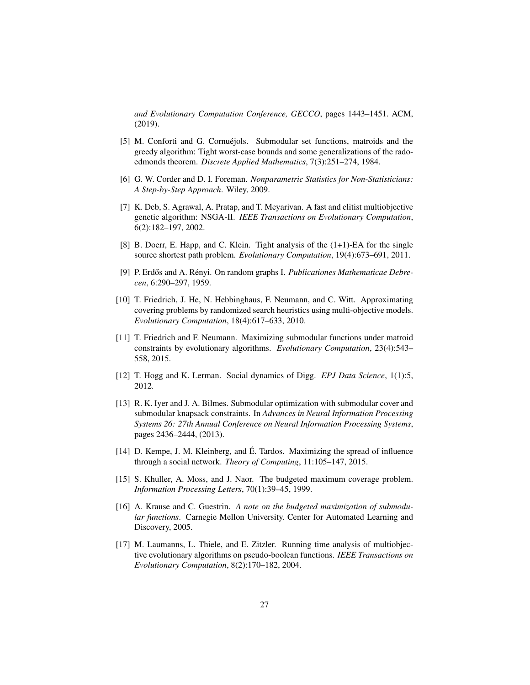*and Evolutionary Computation Conference, GECCO*, pages 1443–1451. ACM, (2019).

- <span id="page-26-5"></span>[5] M. Conforti and G. Cornuéjols. Submodular set functions, matroids and the greedy algorithm: Tight worst-case bounds and some generalizations of the radoedmonds theorem. *Discrete Applied Mathematics*, 7(3):251–274, 1984.
- <span id="page-26-9"></span>[6] G. W. Corder and D. I. Foreman. *Nonparametric Statistics for Non-Statisticians: A Step-by-Step Approach*. Wiley, 2009.
- <span id="page-26-4"></span>[7] K. Deb, S. Agrawal, A. Pratap, and T. Meyarivan. A fast and elitist multiobjective genetic algorithm: NSGA-II. *IEEE Transactions on Evolutionary Computation*, 6(2):182–197, 2002.
- <span id="page-26-8"></span>[8] B. Doerr, E. Happ, and C. Klein. Tight analysis of the (1+1)-EA for the single source shortest path problem. *Evolutionary Computation*, 19(4):673–691, 2011.
- <span id="page-26-11"></span>[9] P. Erdős and A. Rényi. On random graphs I. *Publicationes Mathematicae Debrecen*, 6:290–297, 1959.
- <span id="page-26-7"></span>[10] T. Friedrich, J. He, N. Hebbinghaus, F. Neumann, and C. Witt. Approximating covering problems by randomized search heuristics using multi-objective models. *Evolutionary Computation*, 18(4):617–633, 2010.
- <span id="page-26-3"></span>[11] T. Friedrich and F. Neumann. Maximizing submodular functions under matroid constraints by evolutionary algorithms. *Evolutionary Computation*, 23(4):543– 558, 2015.
- <span id="page-26-12"></span>[12] T. Hogg and K. Lerman. Social dynamics of Digg. *EPJ Data Science*, 1(1):5, 2012.
- <span id="page-26-2"></span>[13] R. K. Iyer and J. A. Bilmes. Submodular optimization with submodular cover and submodular knapsack constraints. In *Advances in Neural Information Processing Systems 26: 27th Annual Conference on Neural Information Processing Systems*, pages 2436–2444, (2013).
- <span id="page-26-10"></span>[14] D. Kempe, J. M. Kleinberg, and É. Tardos. Maximizing the spread of influence through a social network. *Theory of Computing*, 11:105–147, 2015.
- <span id="page-26-0"></span>[15] S. Khuller, A. Moss, and J. Naor. The budgeted maximum coverage problem. *Information Processing Letters*, 70(1):39–45, 1999.
- <span id="page-26-1"></span>[16] A. Krause and C. Guestrin. *A note on the budgeted maximization of submodular functions*. Carnegie Mellon University. Center for Automated Learning and Discovery, 2005.
- <span id="page-26-6"></span>[17] M. Laumanns, L. Thiele, and E. Zitzler. Running time analysis of multiobjective evolutionary algorithms on pseudo-boolean functions. *IEEE Transactions on Evolutionary Computation*, 8(2):170–182, 2004.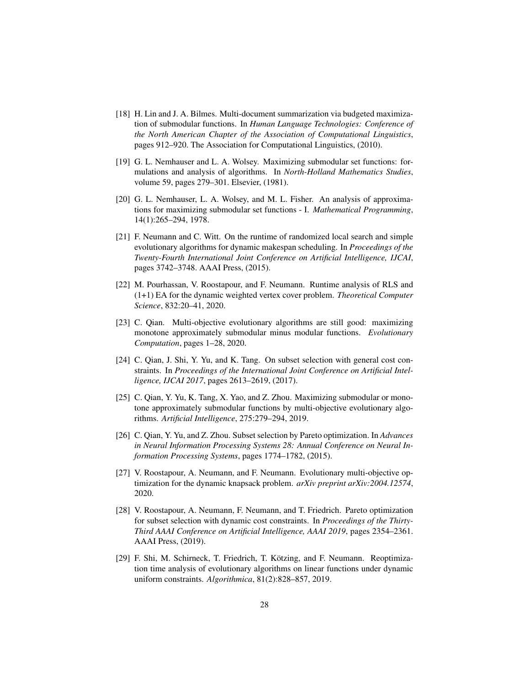- <span id="page-27-6"></span>[18] H. Lin and J. A. Bilmes. Multi-document summarization via budgeted maximization of submodular functions. In *Human Language Technologies: Conference of the North American Chapter of the Association of Computational Linguistics*, pages 912–920. The Association for Computational Linguistics, (2010).
- <span id="page-27-5"></span>[19] G. L. Nemhauser and L. A. Wolsey. Maximizing submodular set functions: formulations and analysis of algorithms. In *North-Holland Mathematics Studies*, volume 59, pages 279–301. Elsevier, (1981).
- <span id="page-27-11"></span>[20] G. L. Nemhauser, L. A. Wolsey, and M. L. Fisher. An analysis of approximations for maximizing submodular set functions - I. *Mathematical Programming*, 14(1):265–294, 1978.
- <span id="page-27-1"></span>[21] F. Neumann and C. Witt. On the runtime of randomized local search and simple evolutionary algorithms for dynamic makespan scheduling. In *Proceedings of the Twenty-Fourth International Joint Conference on Artificial Intelligence, IJCAI*, pages 3742–3748. AAAI Press, (2015).
- <span id="page-27-2"></span>[22] M. Pourhassan, V. Roostapour, and F. Neumann. Runtime analysis of RLS and (1+1) EA for the dynamic weighted vertex cover problem. *Theoretical Computer Science*, 832:20–41, 2020.
- <span id="page-27-10"></span>[23] C. Qian. Multi-objective evolutionary algorithms are still good: maximizing monotone approximately submodular minus modular functions. *Evolutionary Computation*, pages 1–28, 2020.
- <span id="page-27-9"></span>[24] C. Qian, J. Shi, Y. Yu, and K. Tang. On subset selection with general cost constraints. In *Proceedings of the International Joint Conference on Artificial Intelligence, IJCAI 2017*, pages 2613–2619, (2017).
- <span id="page-27-8"></span>[25] C. Qian, Y. Yu, K. Tang, X. Yao, and Z. Zhou. Maximizing submodular or monotone approximately submodular functions by multi-objective evolutionary algorithms. *Artificial Intelligence*, 275:279–294, 2019.
- <span id="page-27-7"></span>[26] C. Qian, Y. Yu, and Z. Zhou. Subset selection by Pareto optimization. In *Advances in Neural Information Processing Systems 28: Annual Conference on Neural Information Processing Systems*, pages 1774–1782, (2015).
- <span id="page-27-4"></span>[27] V. Roostapour, A. Neumann, and F. Neumann. Evolutionary multi-objective optimization for the dynamic knapsack problem. *arXiv preprint arXiv:2004.12574*, 2020.
- <span id="page-27-0"></span>[28] V. Roostapour, A. Neumann, F. Neumann, and T. Friedrich. Pareto optimization for subset selection with dynamic cost constraints. In *Proceedings of the Thirty-Third AAAI Conference on Artificial Intelligence, AAAI 2019*, pages 2354–2361. AAAI Press, (2019).
- <span id="page-27-3"></span>[29] F. Shi, M. Schirneck, T. Friedrich, T. Kötzing, and F. Neumann. Reoptimization time analysis of evolutionary algorithms on linear functions under dynamic uniform constraints. *Algorithmica*, 81(2):828–857, 2019.